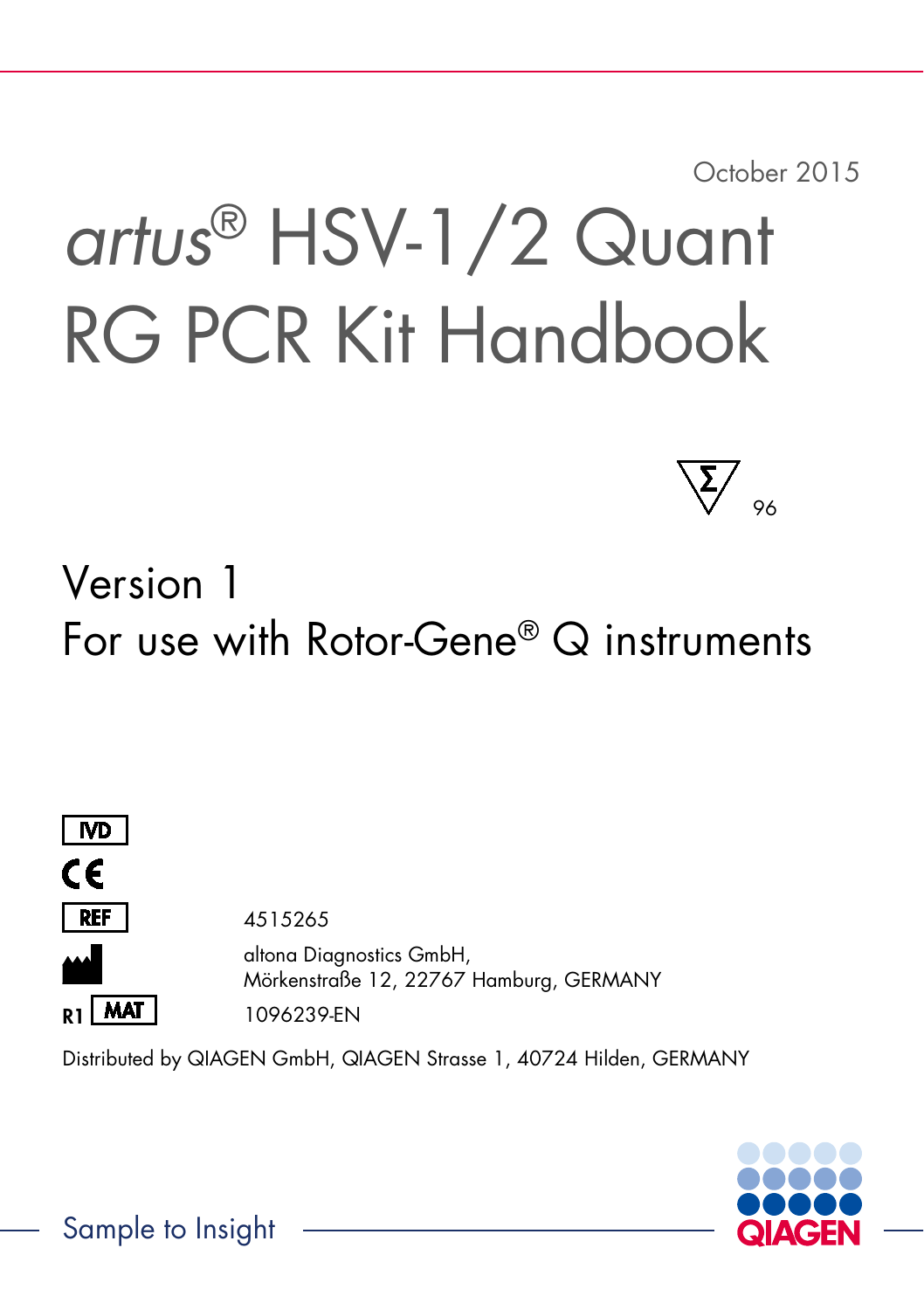October 2015

# *artus*® HSV-1/2 Quant RG PCR Kit Handbook



# Version 1 For use with Rotor-Gene® Q instruments



Distributed by QIAGEN GmbH, QIAGEN Strasse 1, 40724 Hilden, GERMANY



Sample to Insight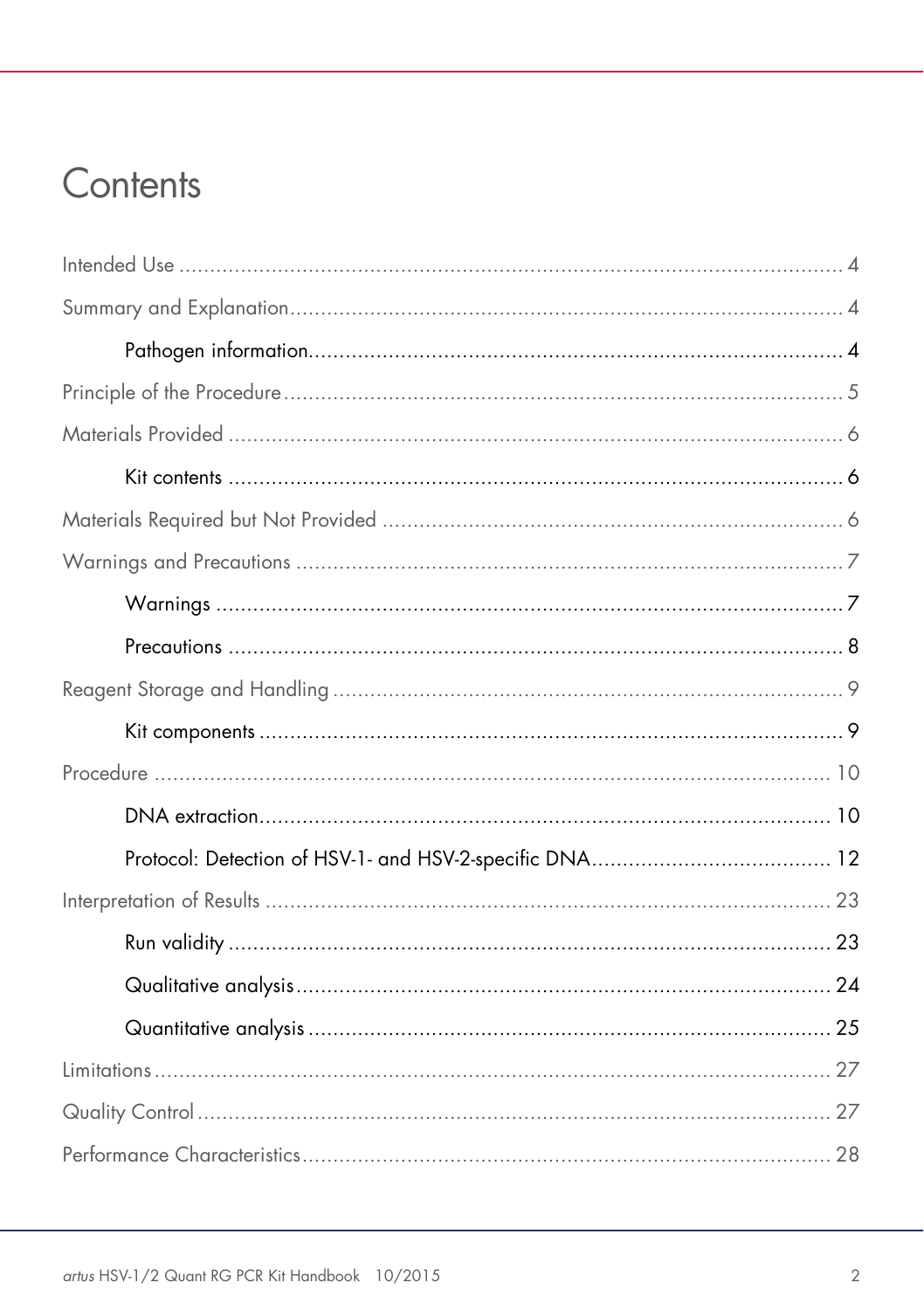# Contents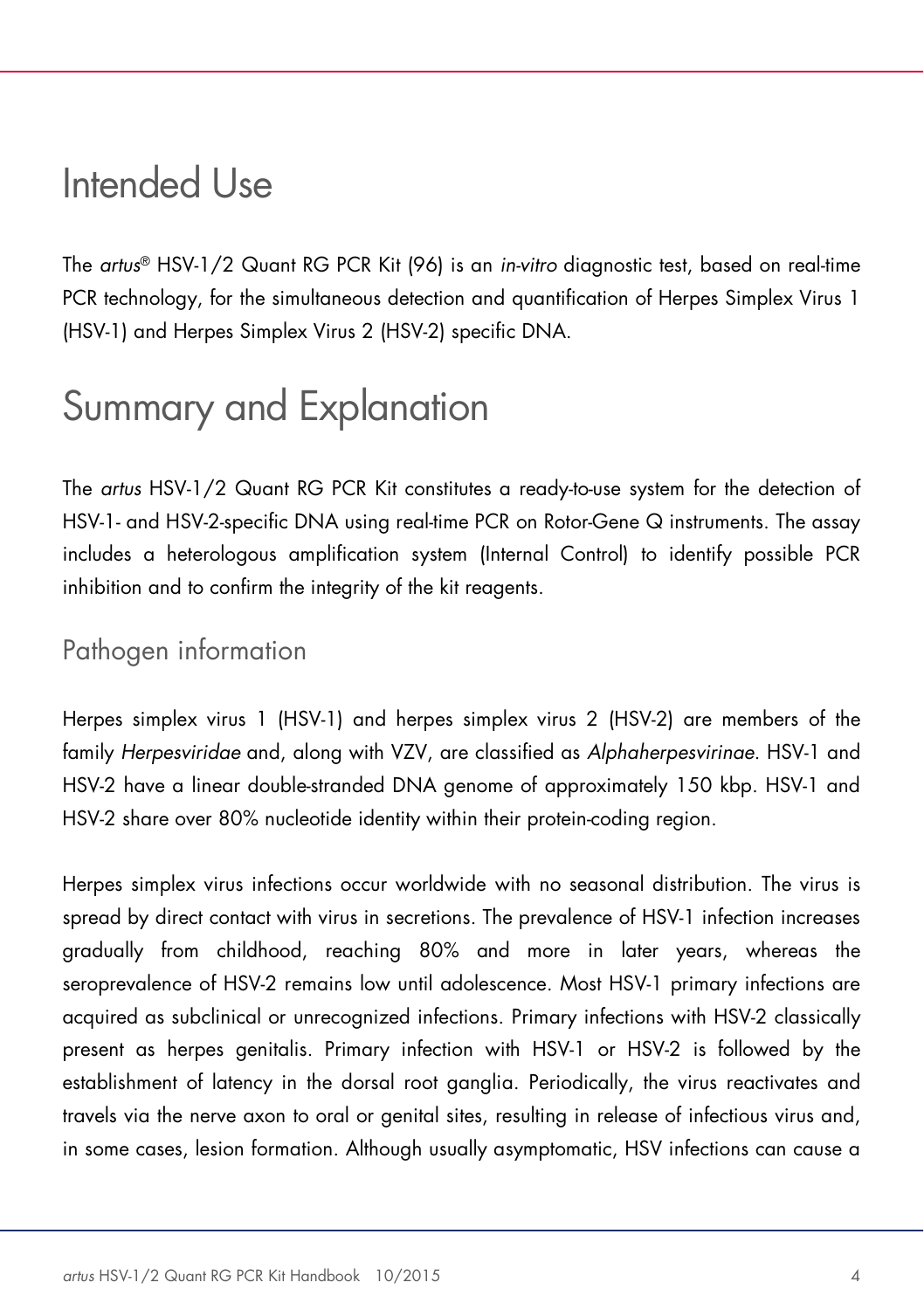# <span id="page-3-0"></span>Intended Use

The *artus*® HSV-1/2 Quant RG PCR Kit (96) is an *in-vitro* diagnostic test, based on real-time PCR technology, for the simultaneous detection and quantification of Herpes Simplex Virus 1 (HSV-1) and Herpes Simplex Virus 2 (HSV-2) specific DNA.

# <span id="page-3-1"></span>Summary and Explanation

The *artus* HSV-1/2 Quant RG PCR Kit constitutes a ready-to-use system for the detection of HSV-1- and HSV-2-specific DNA using real-time PCR on Rotor-Gene Q instruments. The assay includes a heterologous amplification system (Internal Control) to identify possible PCR inhibition and to confirm the integrity of the kit reagents.

### <span id="page-3-2"></span>Pathogen information

Herpes simplex virus 1 (HSV-1) and herpes simplex virus 2 (HSV-2) are members of the family *Herpesviridae* and, along with VZV, are classified as *[Alphaherpesvirinae](https://en.wikipedia.org/wiki/Alphaherpesvirinae)*. HSV-1 and HSV-2 have a linear double-stranded DNA genome of approximately 150 kbp. HSV-1 and HSV-2 share over 80% nucleotide identity within their protein-coding region.

Herpes simplex virus infections occur worldwide with no seasonal distribution. The virus is spread by direct contact with virus in secretions. The prevalence of HSV-1 infection increases gradually from childhood, reaching 80% and more in later years, whereas the seroprevalence of HSV-2 remains low until adolescence. Most HSV-1 primary infections are acquired as subclinical or unrecognized infections. Primary infections with HSV-2 classically present as herpes genitalis. Primary infection with HSV-1 or HSV-2 is followed by the establishment of latency in the dorsal root ganglia. Periodically, the virus reactivates and travels via the nerve axon to oral or genital sites, resulting in release of infectious virus and, in some cases, lesion formation. Although usually asymptomatic, HSV infections can cause a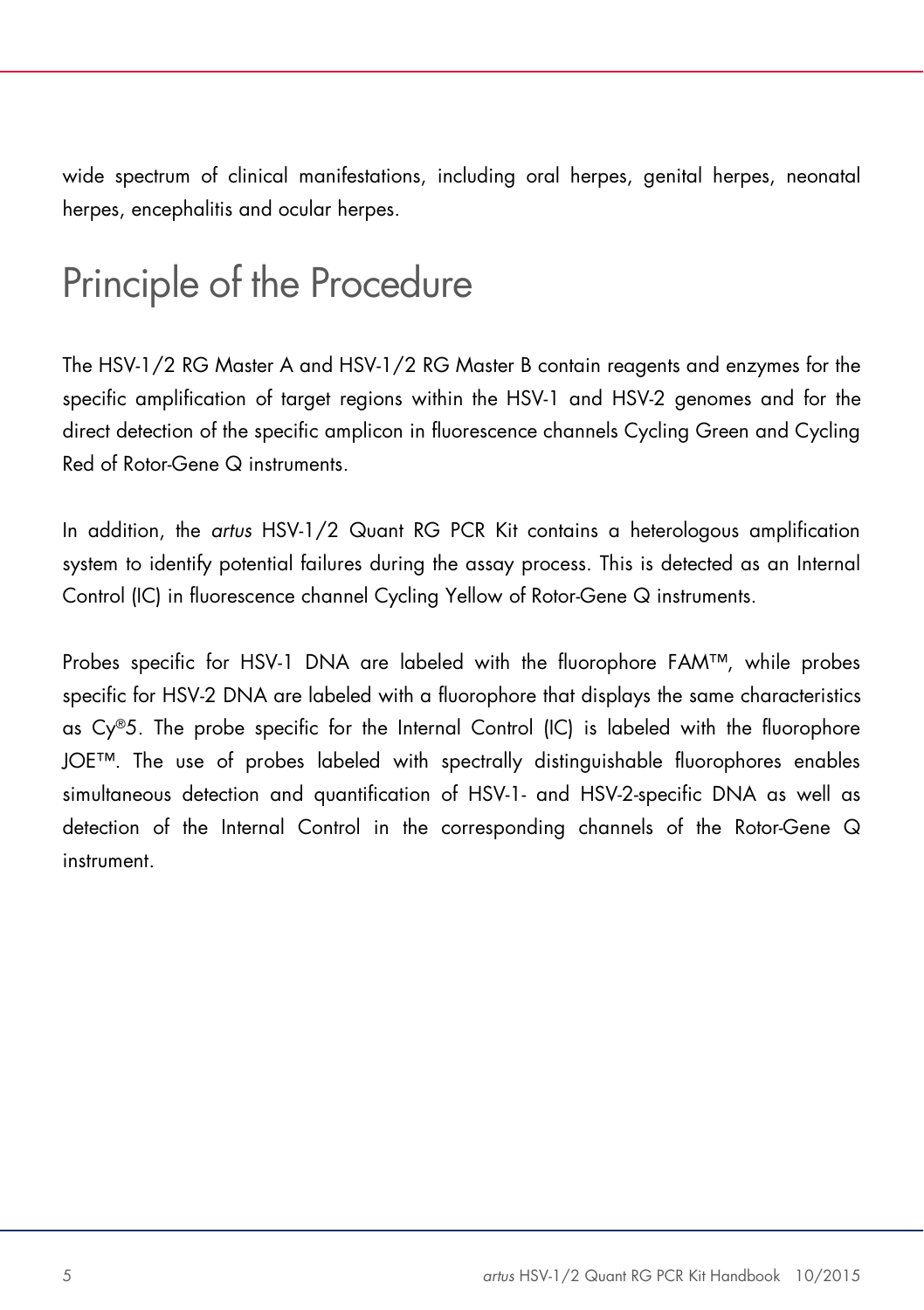wide spectrum of clinical manifestations, including oral herpes, genital herpes, neonatal herpes, encephalitis and ocular herpes.

# <span id="page-4-0"></span>Principle of the Procedure

The HSV-1/2 RG Master A and HSV-1/2 RG Master B contain reagents and enzymes for the specific amplification of target regions within the HSV-1 and HSV-2 genomes and for the direct detection of the specific amplicon in fluorescence channels Cycling Green and Cycling Red of Rotor-Gene Q instruments.

In addition, the *artus* HSV-1/2 Quant RG PCR Kit contains a heterologous amplification system to identify potential failures during the assay process. This is detected as an Internal Control (IC) in fluorescence channel Cycling Yellow of Rotor-Gene Q instruments.

Probes specific for HSV-1 DNA are labeled with the fluorophore FAM™, while probes specific for HSV-2 DNA are labeled with a fluorophore that displays the same characteristics as Cy®5. The probe specific for the Internal Control (IC) is labeled with the fluorophore JOE™. The use of probes labeled with spectrally distinguishable fluorophores enables simultaneous detection and quantification of HSV-1- and HSV-2-specific DNA as well as detection of the Internal Control in the corresponding channels of the Rotor-Gene Q instrument.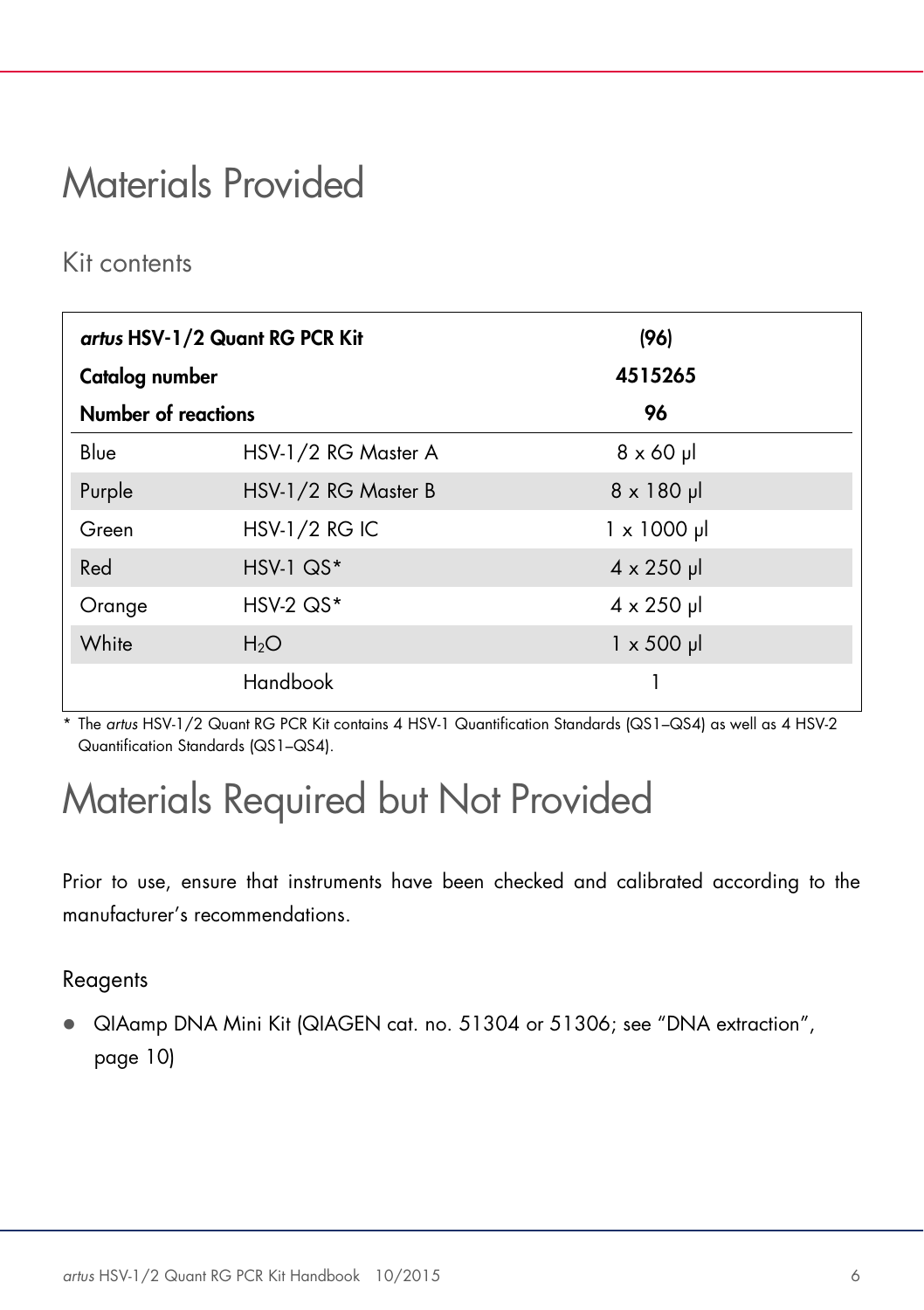# <span id="page-5-0"></span>Materials Provided

### <span id="page-5-1"></span>Kit contents

| artus HSV-1/2 Quant RG PCR Kit |                      | (96)                |  |
|--------------------------------|----------------------|---------------------|--|
| Catalog number                 |                      | 4515265             |  |
| <b>Number of reactions</b>     |                      | 96                  |  |
| Blue                           | HSV-1/2 RG Master A  | $8 \times 60$ µ     |  |
| Purple                         | HSV-1/2 RG Master B  | $8 \times 180$ pl   |  |
| Green                          | <b>HSV-1/2 RG IC</b> | $1 \times 1000 \mu$ |  |
| Red                            | $HSV-1$ QS*          | $4 \times 250 \mu$  |  |
| Orange                         | $HSV-2$ QS*          | $4 \times 250$ µ    |  |
| White                          | H <sub>2</sub> O     | $1 \times 500 \mu$  |  |
|                                | Handbook             |                     |  |

\* The *artus* HSV-1/2 Quant RG PCR Kit contains 4 HSV-1 Quantification Standards (QS1–QS4) as well as 4 HSV-2 Quantification Standards (QS1–QS4).

# <span id="page-5-2"></span>Materials Required but Not Provided

Prior to use, ensure that instruments have been checked and calibrated according to the manufacturer's recommendations.

#### Reagents

 QIAamp DNA Mini Kit (QIAGEN cat. no. 51304 or 51306; see ["DNA extraction"](#page-9-1), page [10\)](#page-9-1)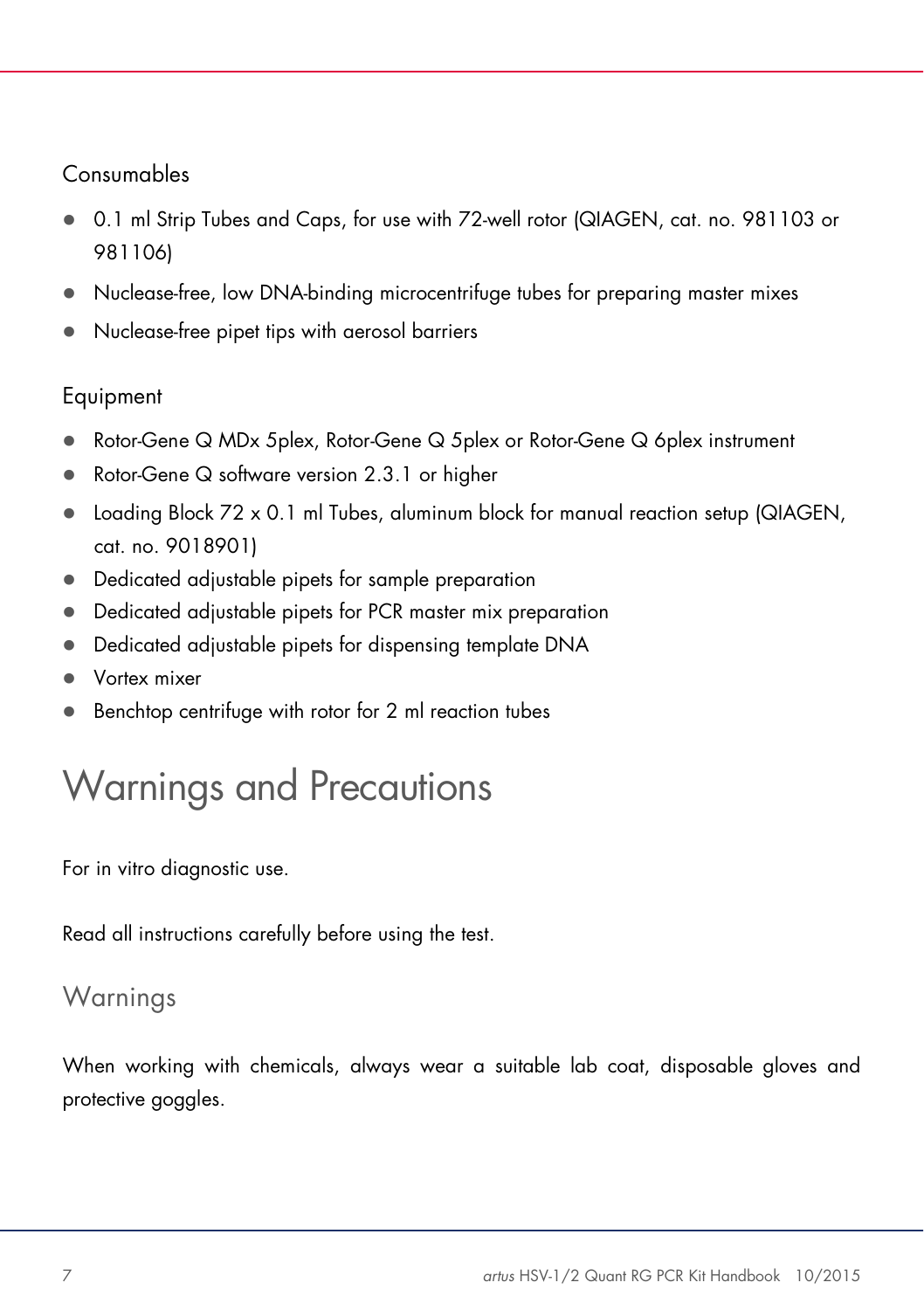### Consumables

- 0.1 ml Strip Tubes and Caps, for use with 72-well rotor (QIAGEN, cat. no. 981103 or 981106)
- Nuclease-free, low DNA-binding microcentrifuge tubes for preparing master mixes
- Nuclease-free pipet tips with aerosol barriers

### Equipment

- Rotor-Gene Q MDx 5plex, Rotor-Gene Q 5plex or Rotor-Gene Q 6plex instrument
- Rotor-Gene Q software version 2.3.1 or higher
- $\bullet$  Loading Block 72 x 0.1 ml Tubes, aluminum block for manual reaction setup (QIAGEN, cat. no. 9018901)
- Dedicated adjustable pipets for sample preparation
- Dedicated adjustable pipets for PCR master mix preparation
- Dedicated adjustable pipets for dispensing template DNA
- **•** Vortex mixer
- Benchtop centrifuge with rotor for 2 ml reaction tubes

# <span id="page-6-0"></span>Warnings and Precautions

For in vitro diagnostic use.

Read all instructions carefully before using the test.

### <span id="page-6-1"></span>**Warnings**

When working with chemicals, always wear a suitable lab coat, disposable gloves and protective goggles.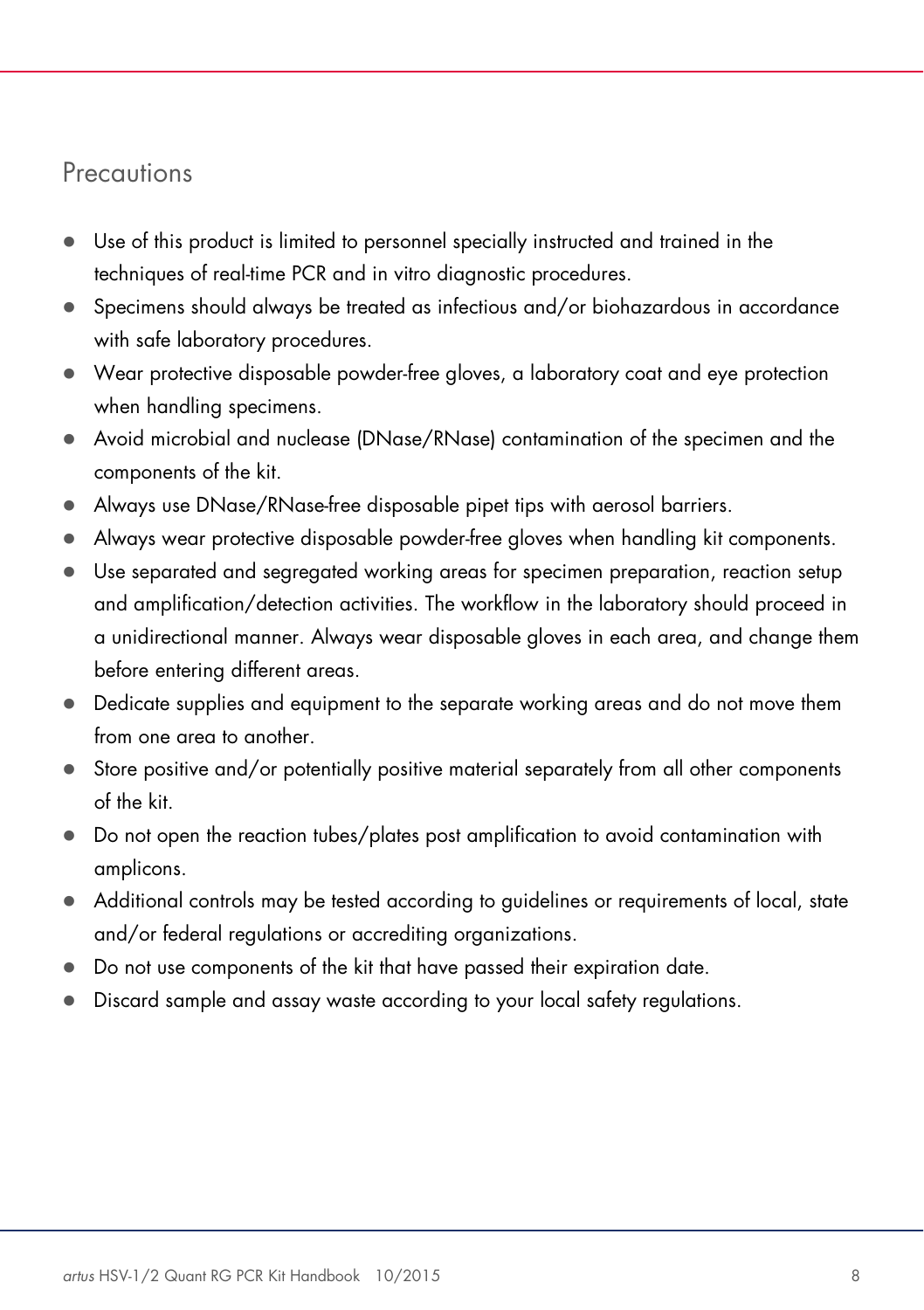### <span id="page-7-0"></span>**Precautions**

- Use of this product is limited to personnel specially instructed and trained in the techniques of real-time PCR and in vitro diagnostic procedures.
- Specimens should always be treated as infectious and/or biohazardous in accordance with safe laboratory procedures.
- Wear protective disposable powder-free gloves, a laboratory coat and eye protection when handling specimens.
- Avoid microbial and nuclease (DNase/RNase) contamination of the specimen and the components of the kit.
- Always use DNase/RNase-free disposable pipet tips with aerosol barriers.
- Always wear protective disposable powder-free gloves when handling kit components.
- Use separated and segregated working areas for specimen preparation, reaction setup and amplification/detection activities. The workflow in the laboratory should proceed in a unidirectional manner. Always wear disposable gloves in each area, and change them before entering different areas.
- Dedicate supplies and equipment to the separate working areas and do not move them from one area to another.
- Store positive and/or potentially positive material separately from all other components of the kit.
- Do not open the reaction tubes/plates post amplification to avoid contamination with amplicons.
- Additional controls may be tested according to guidelines or requirements of local, state and/or federal regulations or accrediting organizations.
- Do not use components of the kit that have passed their expiration date.
- Discard sample and assay waste according to your local safety regulations.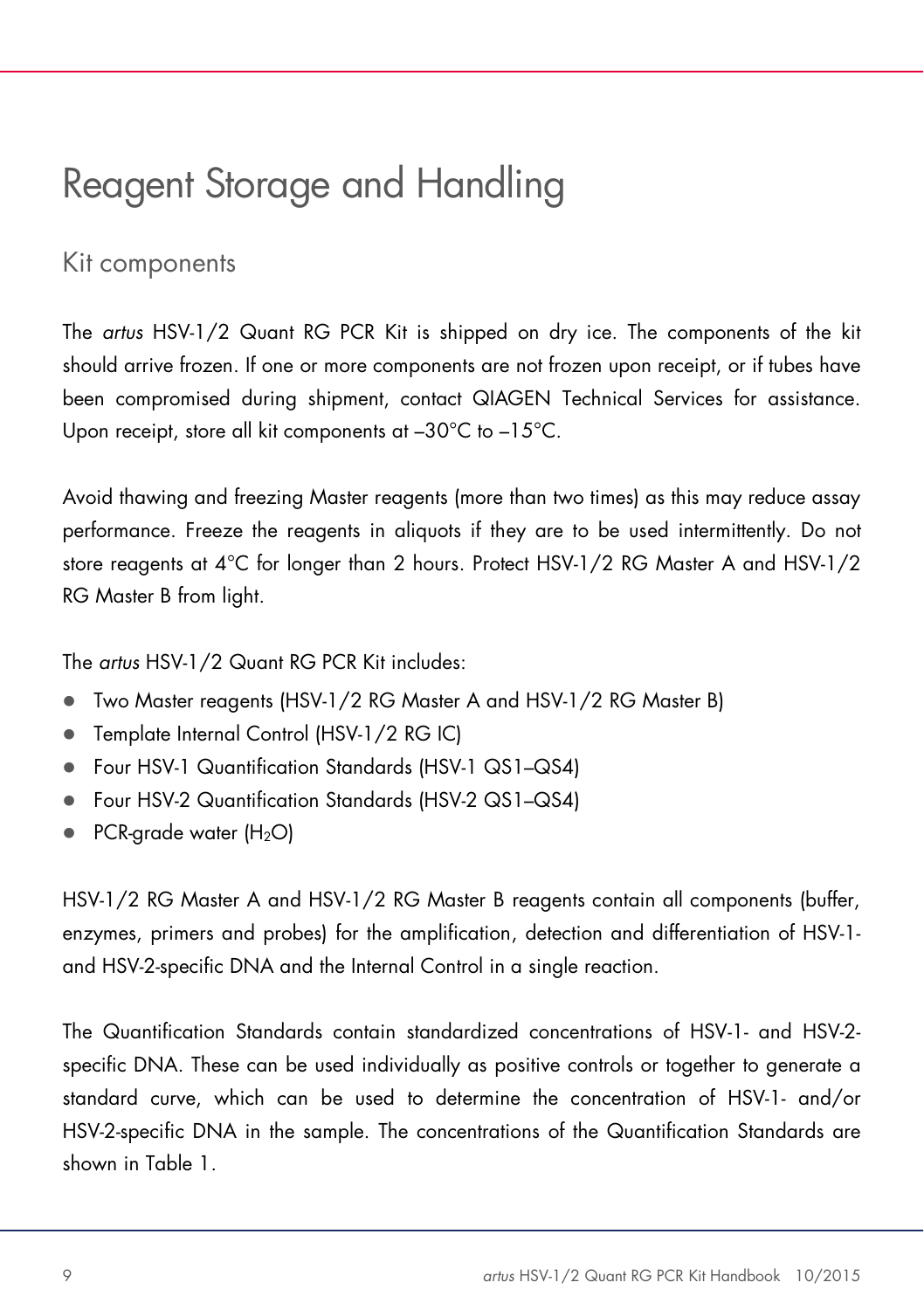# <span id="page-8-0"></span>Reagent Storage and Handling

### <span id="page-8-1"></span>Kit components

The *artus* HSV-1/2 Quant RG PCR Kit is shipped on dry ice. The components of the kit should arrive frozen. If one or more components are not frozen upon receipt, or if tubes have been compromised during shipment, contact QIAGEN Technical Services for assistance. Upon receipt, store all kit components at  $-30^{\circ}$ C to  $-15^{\circ}$ C.

Avoid thawing and freezing Master reagents (more than two times) as this may reduce assay performance. Freeze the reagents in aliquots if they are to be used intermittently. Do not store reagents at 4°C for longer than 2 hours. Protect HSV-1/2 RG Master A and HSV-1/2 RG Master B from light.

The *artus* HSV-1/2 Quant RG PCR Kit includes:

- Two Master reagents (HSV-1/2 RG Master A and HSV-1/2 RG Master B)
- Template Internal Control (HSV-1/2 RG IC)
- Four HSV-1 Quantification Standards (HSV-1 QS1-QS4)
- Four HSV-2 Quantification Standards (HSV-2 QS1-QS4)
- PCR-grade water  $(H_2O)$

HSV-1/2 RG Master A and HSV-1/2 RG Master B reagents contain all components (buffer, enzymes, primers and probes) for the amplification, detection and differentiation of HSV-1 and HSV-2-specific DNA and the Internal Control in a single reaction.

The Quantification Standards contain standardized concentrations of HSV-1- and HSV-2 specific DNA. These can be used individually as positive controls or together to generate a standard curve, which can be used to determine the concentration of HSV-1- and/or HSV-2-specific DNA in the sample. The concentrations of the Quantification Standards are shown in Table 1.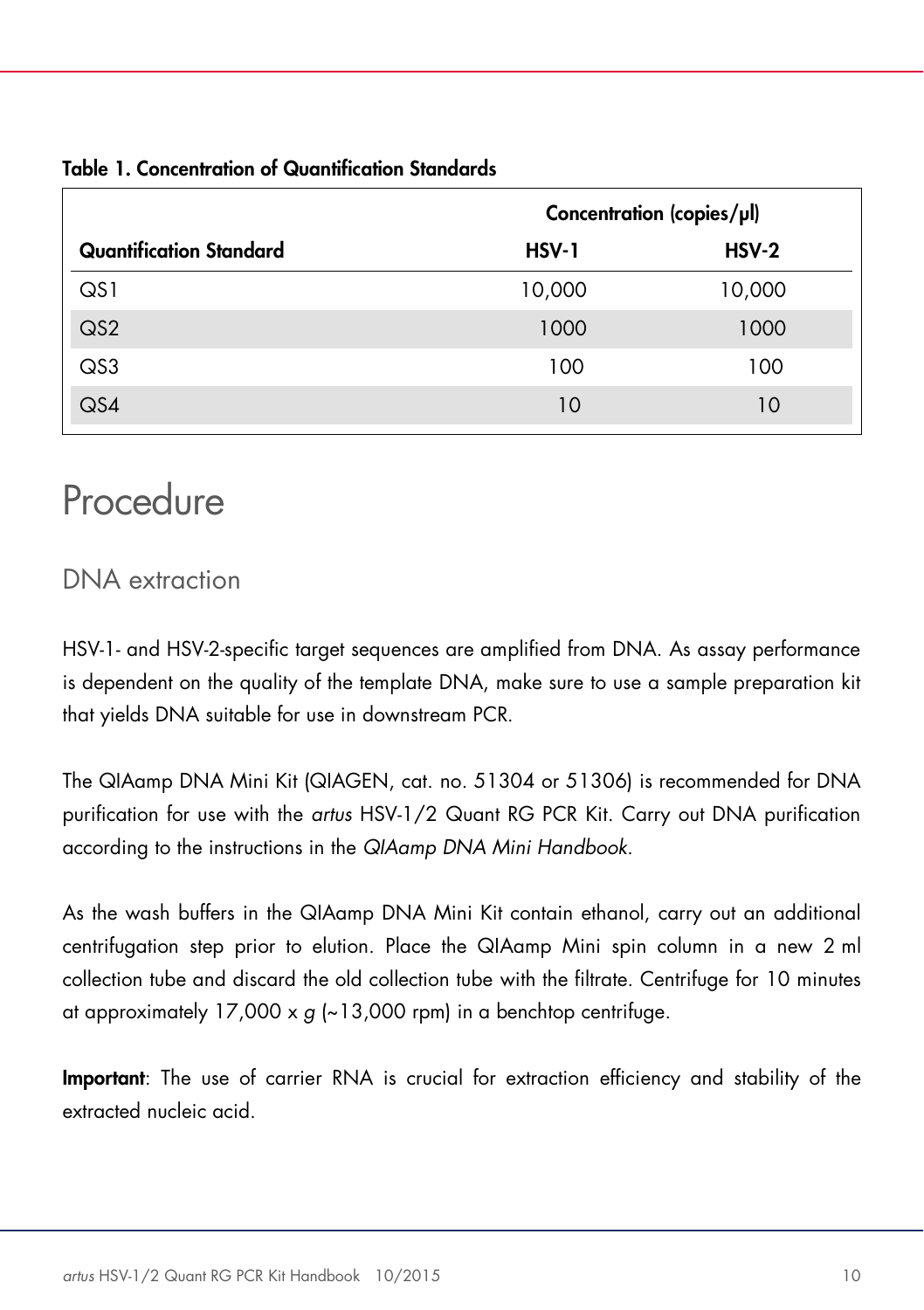|                                | Concentration (copies/µl) |         |
|--------------------------------|---------------------------|---------|
| <b>Quantification Standard</b> | HSV-1                     | $HSV-2$ |
| QS1                            | 10,000                    | 10,000  |
| QS <sub>2</sub>                | 1000                      | 1000    |
| QS3                            | 100                       | 100     |
| $\overline{\mathsf{Q}}$ S4     | 10                        | 10      |

#### Table 1. Concentration of Quantification Standards

# <span id="page-9-0"></span>Procedure

### <span id="page-9-1"></span>DNA extraction

HSV-1- and HSV-2-specific target sequences are amplified from DNA. As assay performance is dependent on the quality of the template DNA, make sure to use a sample preparation kit that yields DNA suitable for use in downstream PCR.

The QIAamp DNA Mini Kit (QIAGEN, cat. no. 51304 or 51306) is recommended for DNA purification for use with the *artus* HSV-1/2 Quant RG PCR Kit. Carry out DNA purification according to the instructions in the *QIAamp DNA Mini Handbook*.

As the wash buffers in the QIAamp DNA Mini Kit contain ethanol, carry out an additional centrifugation step prior to elution. Place the QIAamp Mini spin column in a new 2 ml collection tube and discard the old collection tube with the filtrate. Centrifuge for 10 minutes at approximately 17,000 x *g* (~13,000 rpm) in a benchtop centrifuge.

Important: The use of carrier RNA is crucial for extraction efficiency and stability of the extracted nucleic acid.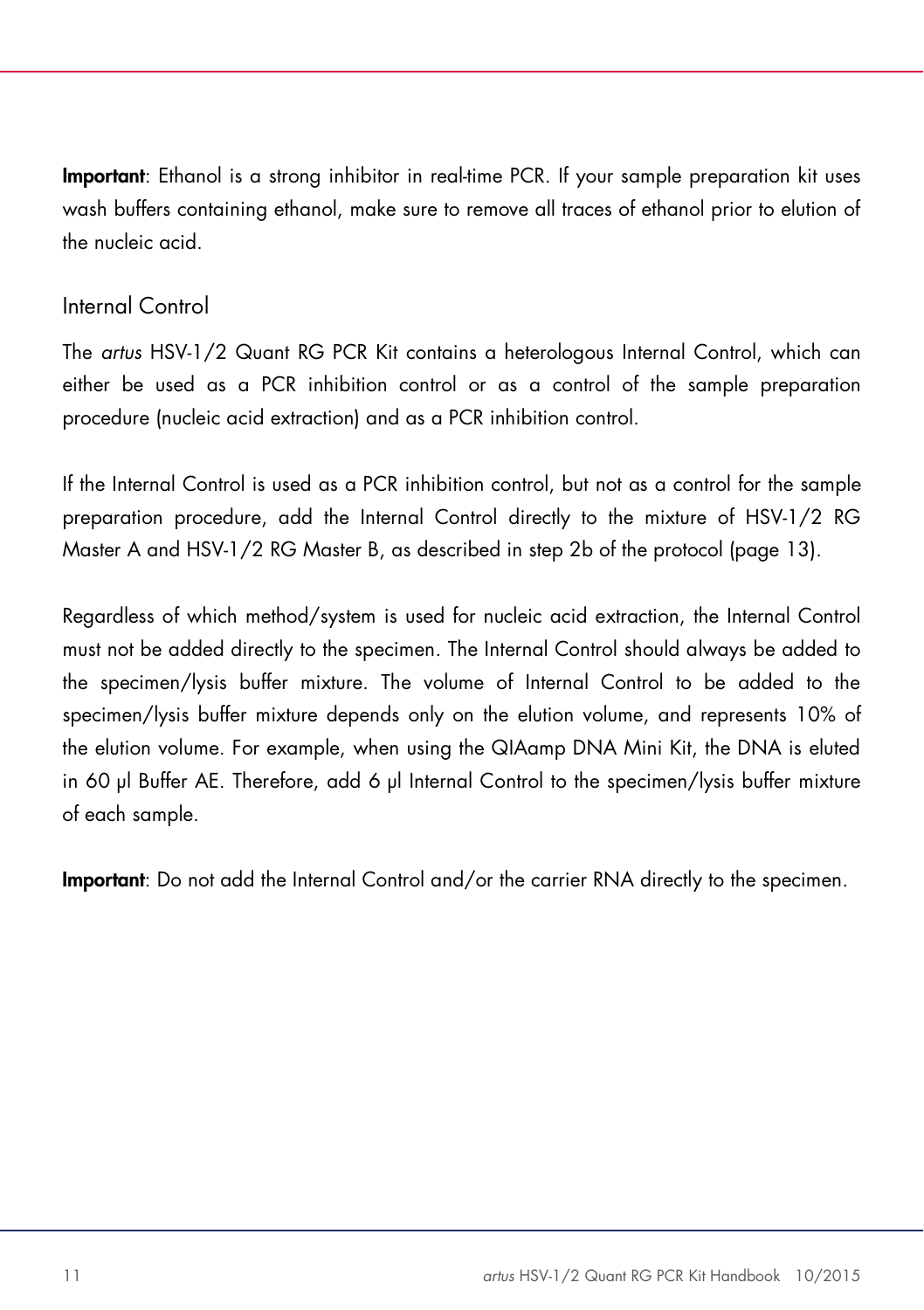Important: Ethanol is a strong inhibitor in real-time PCR. If your sample preparation kit uses wash buffers containing ethanol, make sure to remove all traces of ethanol prior to elution of the nucleic acid.

### <span id="page-10-0"></span>Internal Control

The *artus* HSV-1/2 Quant RG PCR Kit contains a heterologous Internal Control, which can either be used as a PCR inhibition control or as a control of the sample preparation procedure (nucleic acid extraction) and as a PCR inhibition control.

If the Internal Control is used as a PCR inhibition control, but not as a control for the sample preparation procedure, add the Internal Control directly to the mixture of HSV-1/2 RG Master A and HSV-1/2 RG Master B, as described in step 2b of the protocol (page [13\)](#page-12-0).

Regardless of which method/system is used for nucleic acid extraction, the Internal Control must not be added directly to the specimen. The Internal Control should always be added to the specimen/lysis buffer mixture. The volume of Internal Control to be added to the specimen/lysis buffer mixture depends only on the elution volume, and represents 10% of the elution volume. For example, when using the QIAamp DNA Mini Kit, the DNA is eluted in 60 μl Buffer AE. Therefore, add 6 μl Internal Control to the specimen/lysis buffer mixture of each sample.

Important: Do not add the Internal Control and/or the carrier RNA directly to the specimen.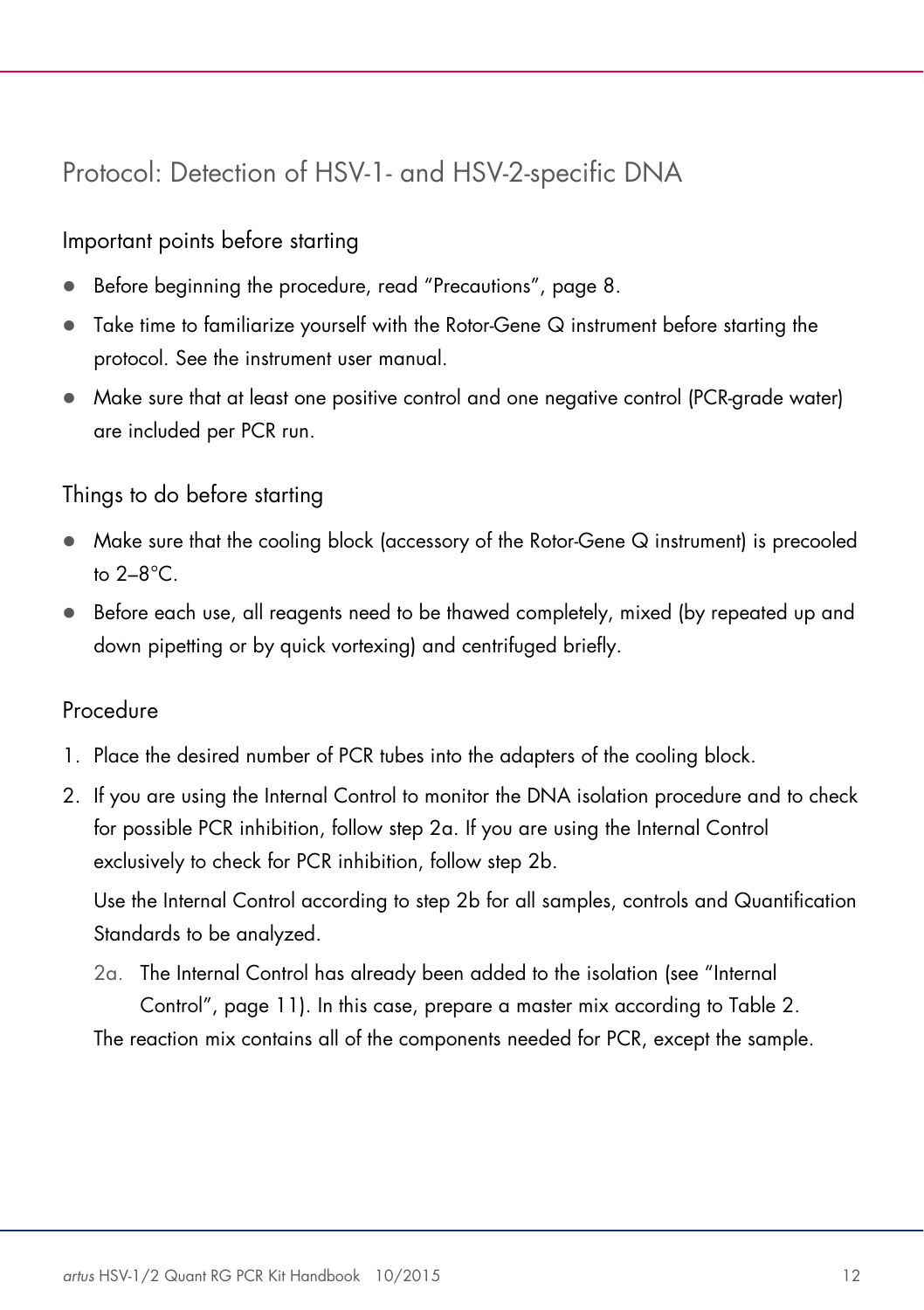### <span id="page-11-0"></span>Protocol: Detection of HSV-1- and HSV-2-specific DNA

### Important points before starting

- Before beginning the procedure, read ["Precautions"](#page-7-0), page [8.](#page-7-0)
- Take time to familiarize yourself with the Rotor-Gene Q instrument before starting the protocol. See the instrument user manual.
- Make sure that at least one positive control and one negative control (PCR-grade water) are included per PCR run.

#### Things to do before starting

- Make sure that the cooling block (accessory of the Rotor-Gene Q instrument) is precooled to 2–8°C.
- Before each use, all reagents need to be thawed completely, mixed (by repeated up and down pipetting or by quick vortexing) and centrifuged briefly.

### Procedure

- 1. Place the desired number of PCR tubes into the adapters of the cooling block.
- 2. If you are using the Internal Control to monitor the DNA isolation procedure and to check for possible PCR inhibition, follow step 2a. If you are using the Internal Control exclusively to check for PCR inhibition, follow step 2b.

Use the Internal Control according to step 2b for all samples, controls and Quantification Standards to be analyzed.

2a. The Internal Control has already been added to the isolation (see ["Internal](#page-10-0)  [Control"](#page-10-0), page [11\)](#page-10-0). In this case, prepare a master mix according to Table 2.

The reaction mix contains all of the components needed for PCR, except the sample.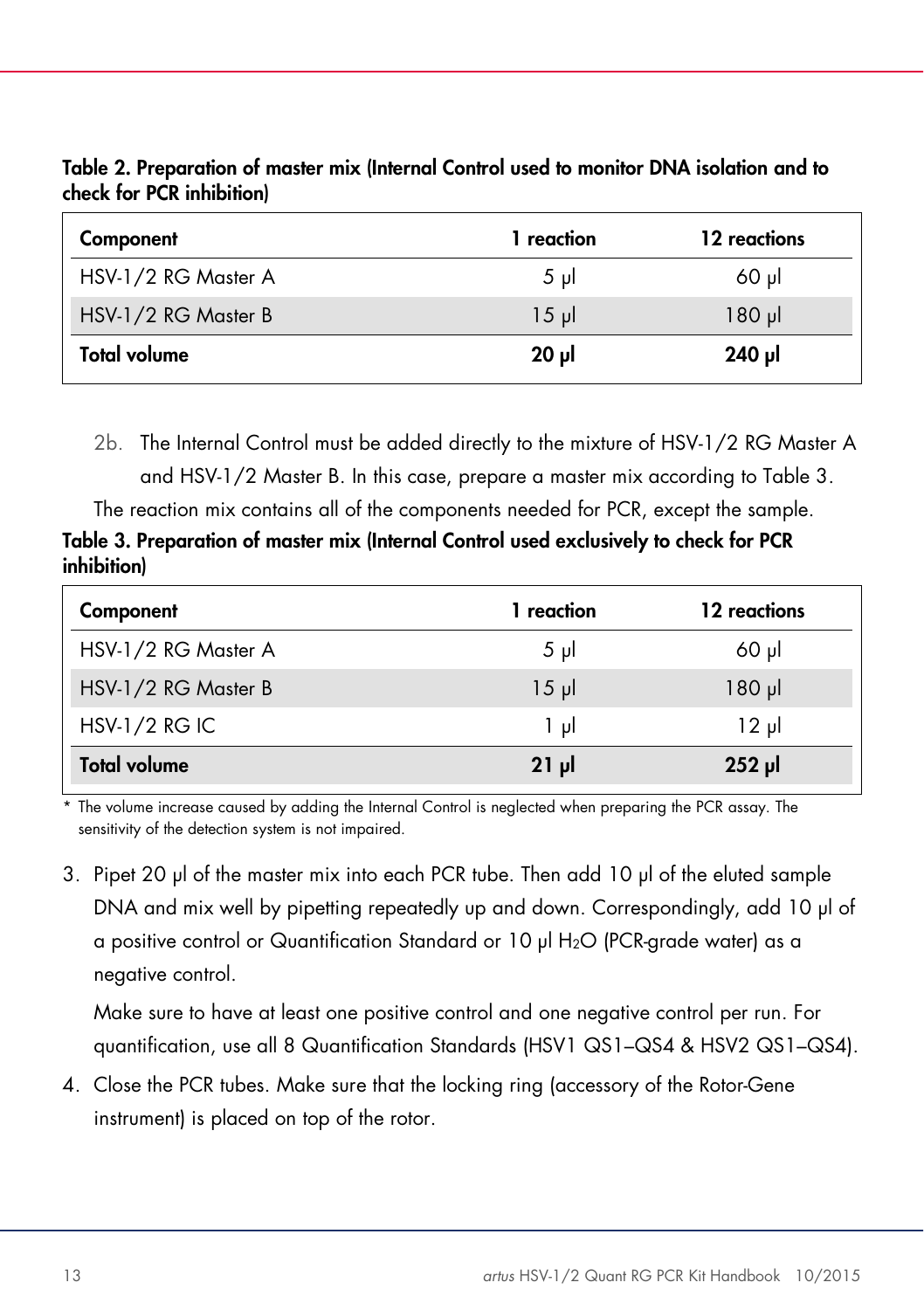Table 2. Preparation of master mix (Internal Control used to monitor DNA isolation and to check for PCR inhibition)

| Component           | reaction | 12 reactions |
|---------------------|----------|--------------|
| HSV-1/2 RG Master A | 5 µl     | $60$ pl      |
| HSV-1/2 RG Master B | $15 \mu$ | $180$ $\mu$  |
| <b>Total volume</b> | $20 \mu$ | 240 µl       |

<span id="page-12-0"></span>2b. The Internal Control must be added directly to the mixture of HSV-1/2 RG Master A and HSV-1/2 Master B. In this case, prepare a master mix according to Table 3.

The reaction mix contains all of the components needed for PCR, except the sample. Table 3. Preparation of master mix (Internal Control used exclusively to check for PCR inhibition)

| Component           | 1 reaction | 12 reactions |
|---------------------|------------|--------------|
| HSV-1/2 RG Master A | $5 \mu$    | $60$ pl      |
| HSV-1/2 RG Master B | $15 \mu$   | $180$ $\mu$  |
| $HSV-1/2$ RG IC     | اں 1       | 12 µl        |
| <b>Total volume</b> | $21 \mu$   | $252$ µ      |

\* The volume increase caused by adding the Internal Control is neglected when preparing the PCR assay. The sensitivity of the detection system is not impaired.

3. Pipet 20 μl of the master mix into each PCR tube. Then add 10 μl of the eluted sample DNA and mix well by pipetting repeatedly up and down. Correspondingly, add 10 μl of a positive control or Quantification Standard or 10 μl H2O (PCR-grade water) as a negative control.

Make sure to have at least one positive control and one negative control per run. For quantification, use all 8 Quantification Standards (HSV1 QS1–QS4 & HSV2 QS1–QS4).

4. Close the PCR tubes. Make sure that the locking ring (accessory of the Rotor-Gene instrument) is placed on top of the rotor.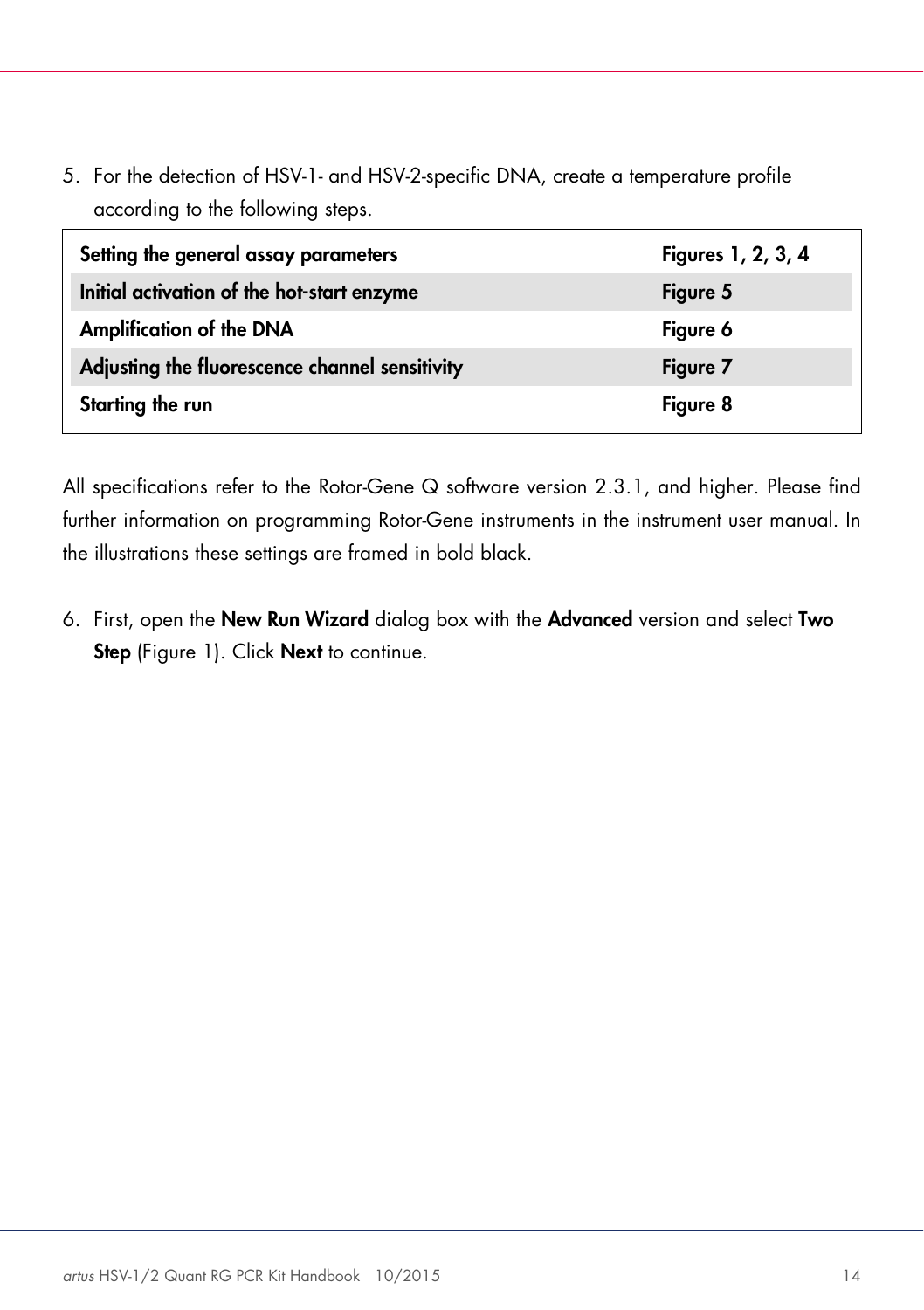5. For the detection of HSV-1- and HSV-2-specific DNA, create a temperature profile according to the following steps.

| Setting the general assay parameters           | Figures 1, 2, 3, 4 |
|------------------------------------------------|--------------------|
| Initial activation of the hot-start enzyme     | Figure 5           |
| <b>Amplification of the DNA</b>                | Figure 6           |
| Adjusting the fluorescence channel sensitivity | Figure 7           |
| Starting the run                               | Figure 8           |

All specifications refer to the Rotor-Gene Q software version 2.3.1, and higher. Please find further information on programming Rotor-Gene instruments in the instrument user manual. In the illustrations these settings are framed in bold black.

6. First, open the New Run Wizard dialog box with the Advanced version and select Two Step (Figure 1). Click Next to continue.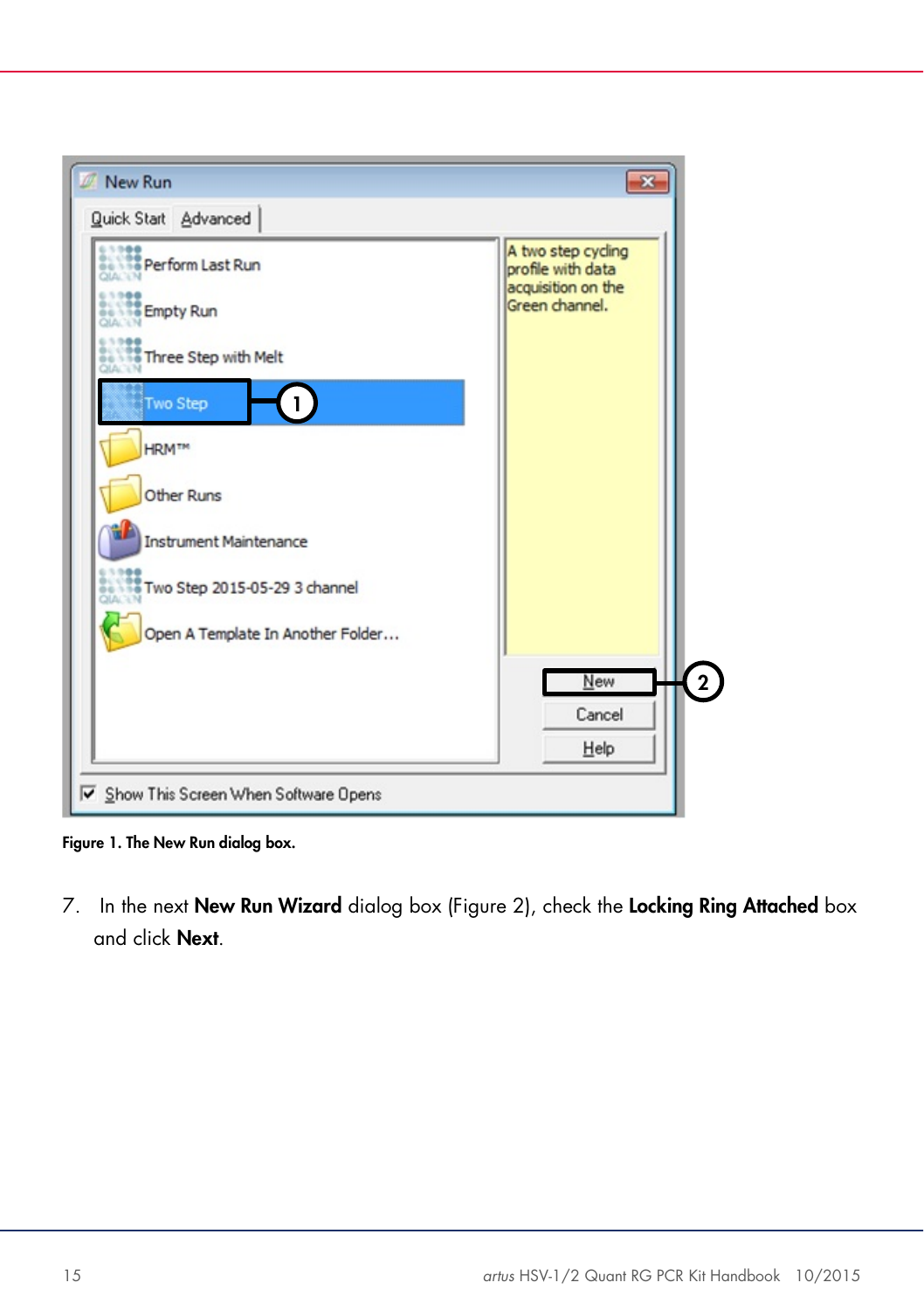

Figure 1. The New Run dialog box.

7. In the next New Run Wizard dialog box (Figure 2), check the Locking Ring Attached box and click Next.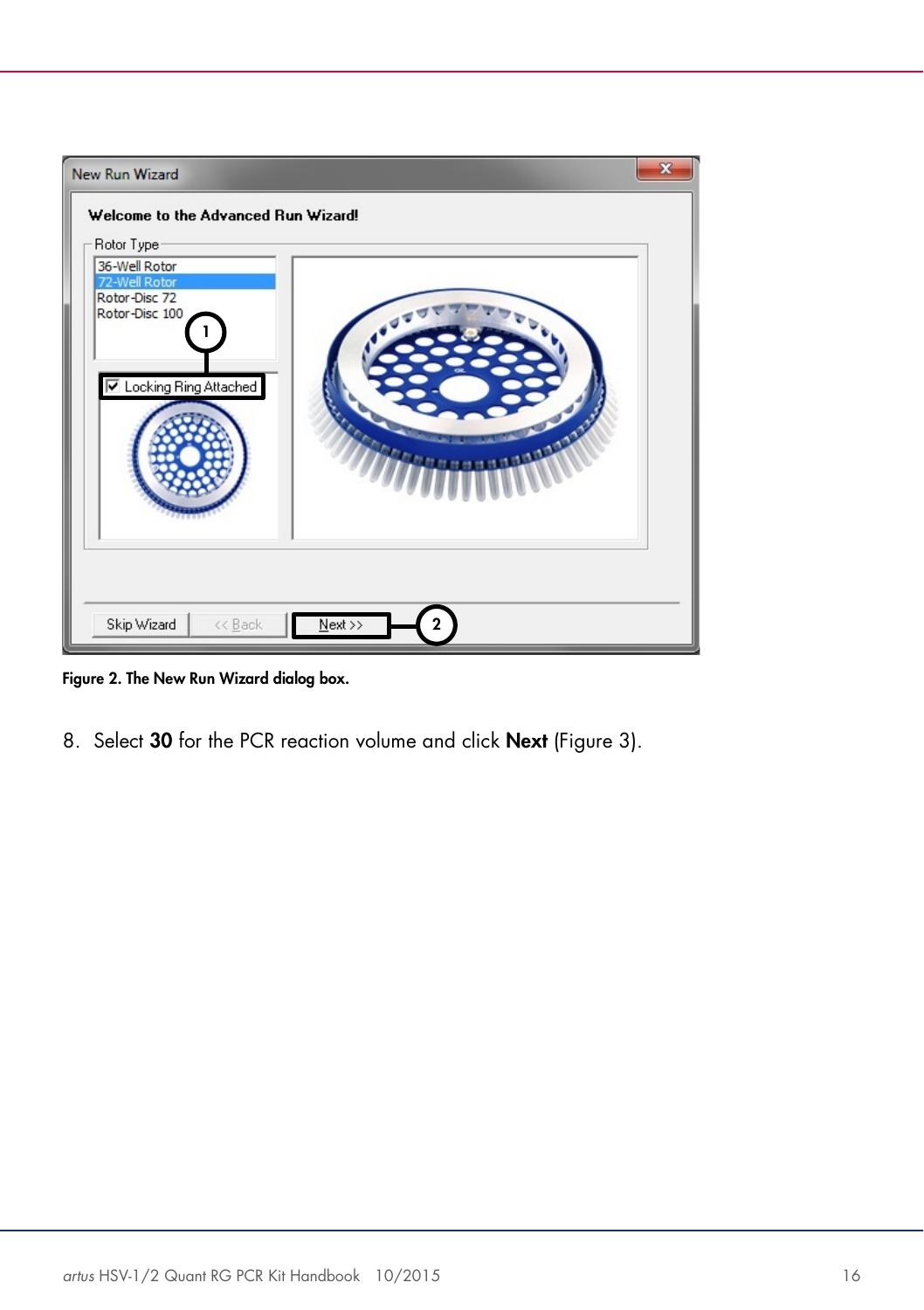

Figure 2. The New Run Wizard dialog box.

8. Select 30 for the PCR reaction volume and click Next (Figure 3).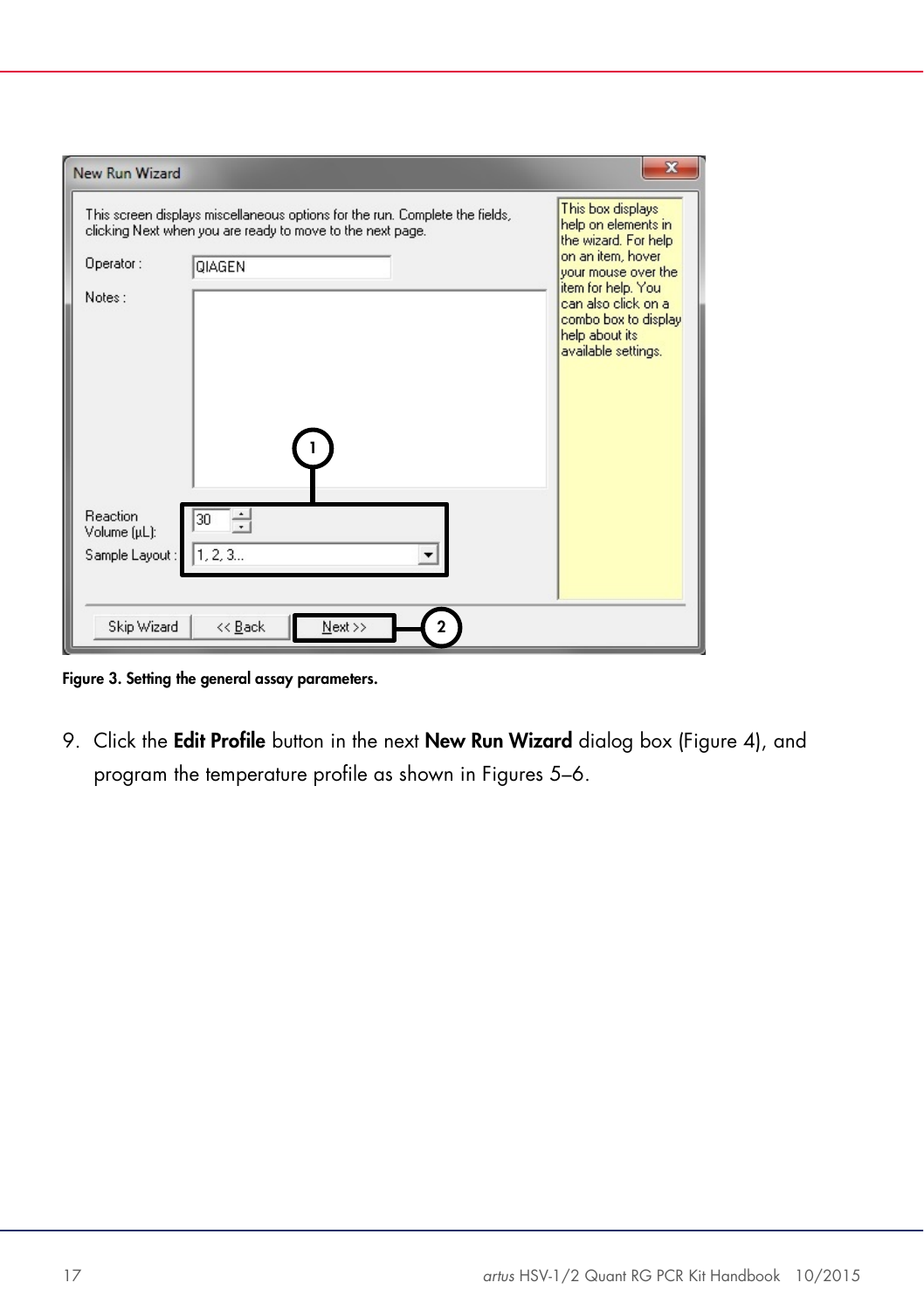| New Run Wizard                             |                                                                                                                                            |                                                                                                            |
|--------------------------------------------|--------------------------------------------------------------------------------------------------------------------------------------------|------------------------------------------------------------------------------------------------------------|
|                                            | This screen displays miscellaneous options for the run. Complete the fields,<br>clicking Next when you are ready to move to the next page. | This box displays<br>help on elements in<br>the wizard. For help                                           |
| Operator:                                  | QIAGEN                                                                                                                                     | on an item, hover<br>your mouse over the                                                                   |
| Notes:                                     |                                                                                                                                            | item for help. You<br>can also click on a<br>combo box to display<br>help about its<br>available settings. |
| Reaction<br>Volume (µL):<br>Sample Layout: | 30<br>1, 2, 3                                                                                                                              |                                                                                                            |
| Skip Wizard                                | $<<$ Back<br>Next >>                                                                                                                       |                                                                                                            |

Figure 3. Setting the general assay parameters.

9. Click the Edit Profile button in the next New Run Wizard dialog box (Figure 4), and program the temperature profile as shown in Figures 5–6.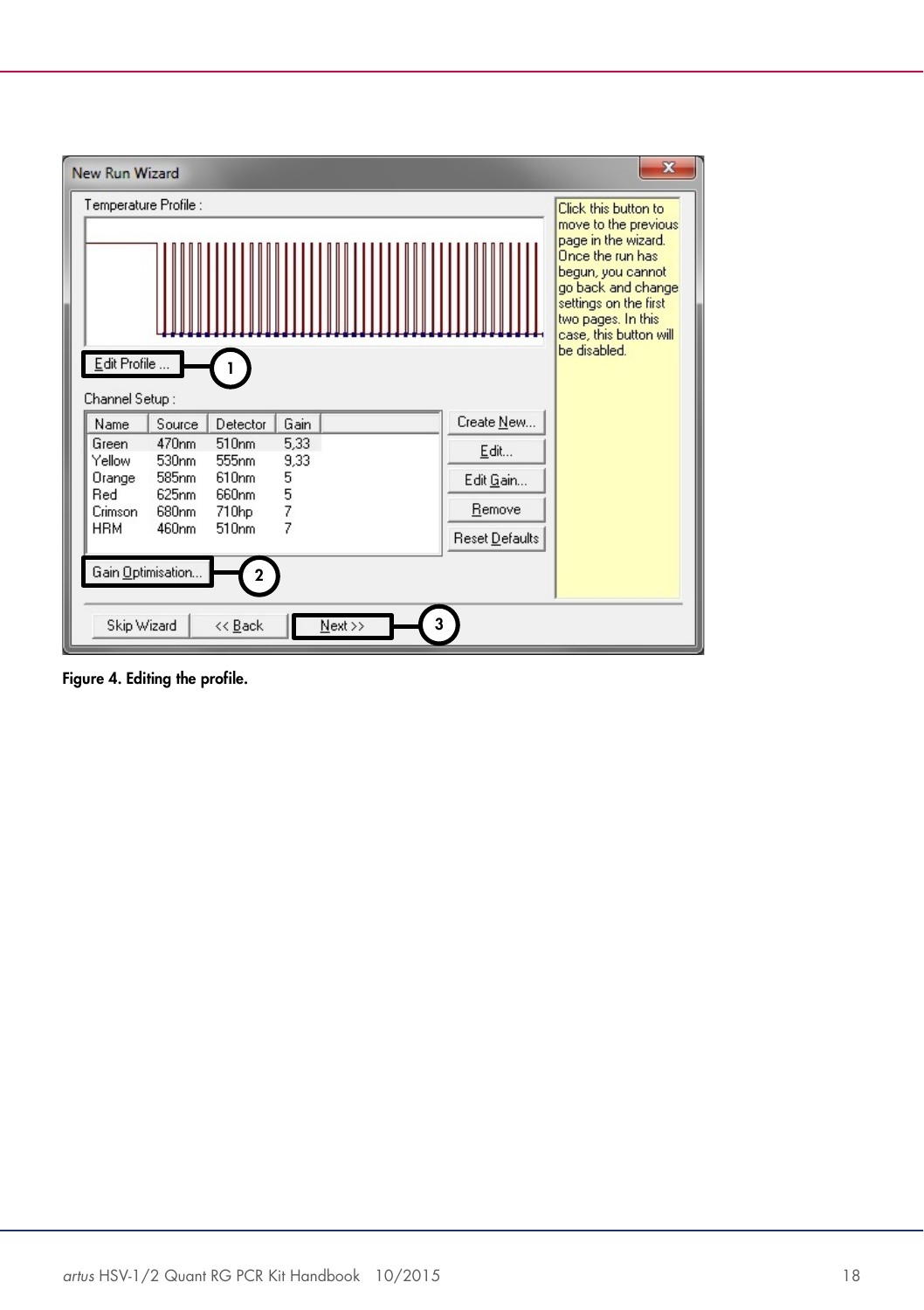

Figure 4. Editing the profile.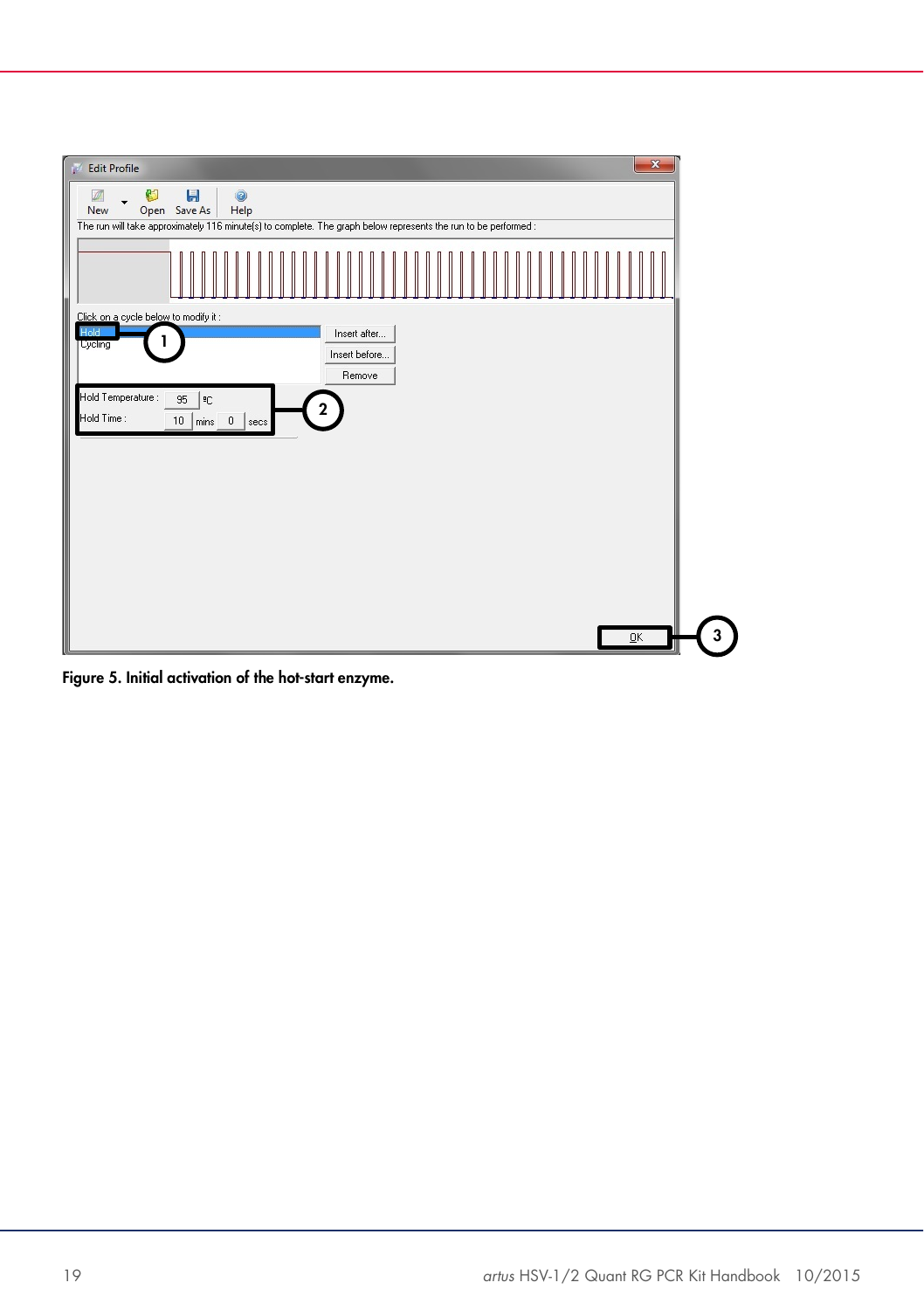

Figure 5. Initial activation of the hot-start enzyme.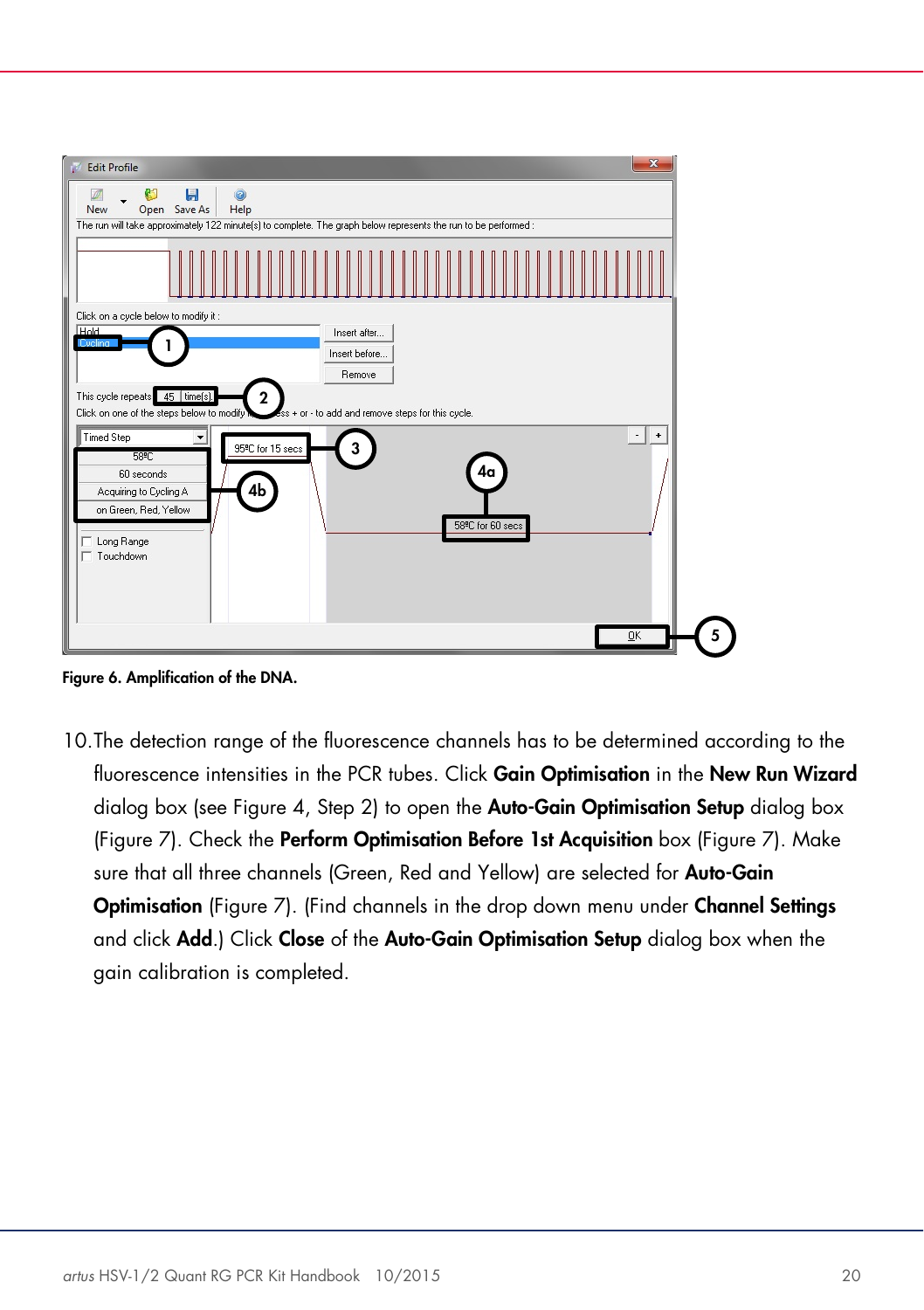

Figure 6. Amplification of the DNA.

10.The detection range of the fluorescence channels has to be determined according to the fluorescence intensities in the PCR tubes. Click Gain Optimisation in the New Run Wizard dialog box (see Figure 4, Step 2) to open the **Auto-Gain Optimisation Setup** dialog box (Figure 7). Check the Perform Optimisation Before 1st Acquisition box (Figure 7). Make sure that all three channels (Green, Red and Yellow) are selected for **Auto-Gain** Optimisation (Figure 7). (Find channels in the drop down menu under Channel Settings and click Add.) Click Close of the Auto-Gain Optimisation Setup dialog box when the gain calibration is completed.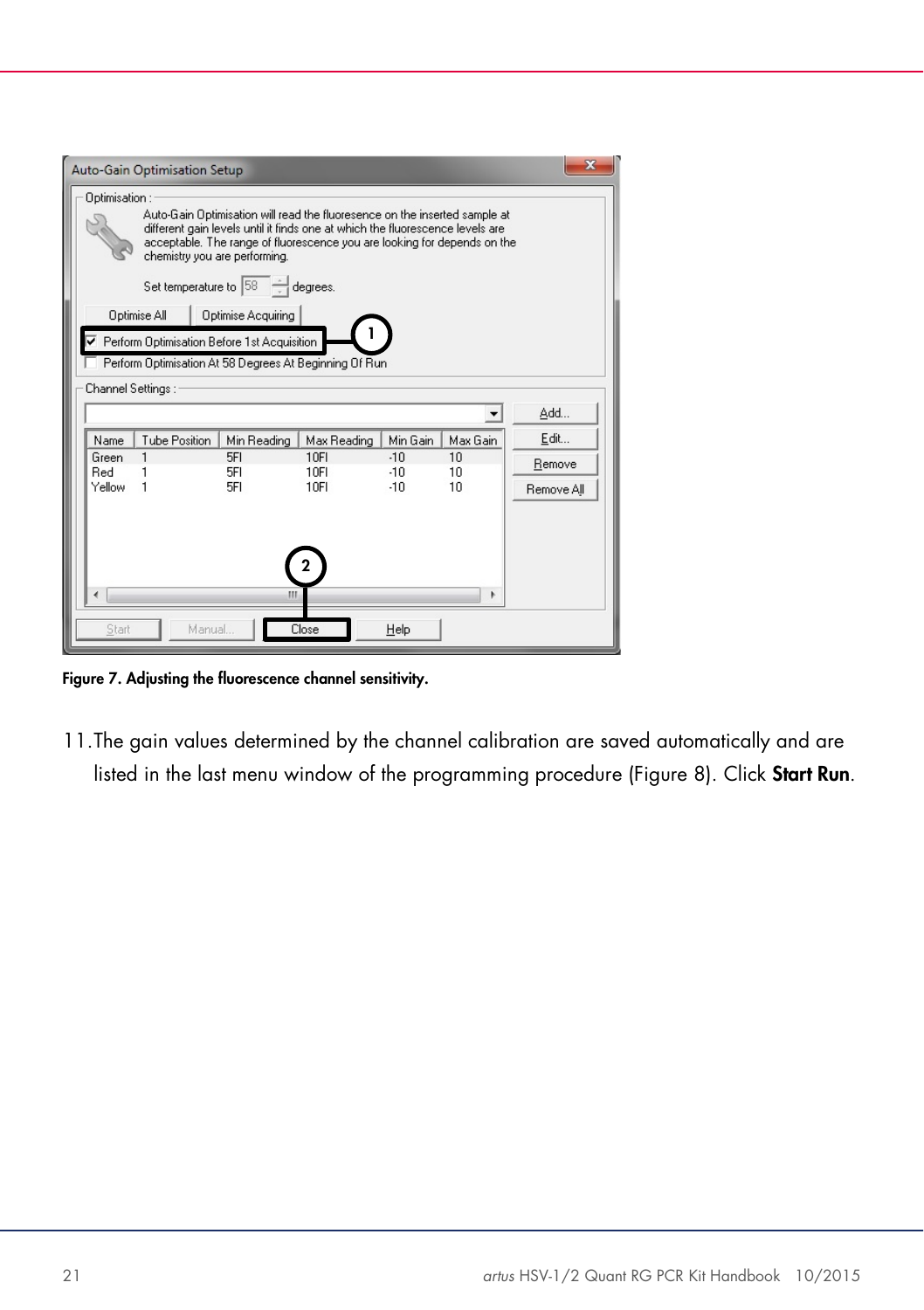|                                                                                                                                                                                                                                                                                           | Auto-Gain Optimisation Setup                           |                           |                                                        |                |          |            |
|-------------------------------------------------------------------------------------------------------------------------------------------------------------------------------------------------------------------------------------------------------------------------------------------|--------------------------------------------------------|---------------------------|--------------------------------------------------------|----------------|----------|------------|
| Optimisation:<br>Auto-Gain Optimisation will read the fluoresence on the inserted sample at<br>different gain levels until it finds one at which the fluorescence levels are<br>acceptable. The range of fluorescence you are looking for depends on the<br>chemistry you are performing. |                                                        |                           |                                                        |                |          |            |
|                                                                                                                                                                                                                                                                                           | Set temperature to $\boxed{58}$ $\rightarrow$ degrees. |                           |                                                        |                |          |            |
|                                                                                                                                                                                                                                                                                           | Optimise All                                           | <b>Optimise Acquiring</b> |                                                        |                |          |            |
|                                                                                                                                                                                                                                                                                           | ▼ Perform Optimisation Before 1st Acquisition          |                           | Perform Optimisation At 58 Degrees At Beginning Of Run |                |          |            |
| Channel Settings:                                                                                                                                                                                                                                                                         |                                                        |                           |                                                        |                |          |            |
|                                                                                                                                                                                                                                                                                           |                                                        |                           |                                                        |                |          | Add        |
| Name                                                                                                                                                                                                                                                                                      | Tube Position                                          | Min Reading               | Max Reading                                            | Min Gain       | Max Gain | Edit       |
| Green<br>Red                                                                                                                                                                                                                                                                              |                                                        | 5FI<br>5FI                | 10FI<br>10FL                                           | $-10$<br>$-10$ | 10<br>10 | Remove     |
| Yellow                                                                                                                                                                                                                                                                                    |                                                        | <b>5FI</b>                | 10FL                                                   | $-10$          | 10       | Remove All |
|                                                                                                                                                                                                                                                                                           |                                                        | Ш                         |                                                        |                |          |            |
| Start                                                                                                                                                                                                                                                                                     | Manual                                                 |                           | Close                                                  | Help           |          |            |

Figure 7. Adjusting the fluorescence channel sensitivity.

11.The gain values determined by the channel calibration are saved automatically and are listed in the last menu window of the programming procedure (Figure 8). Click Start Run.

 $\overline{a}$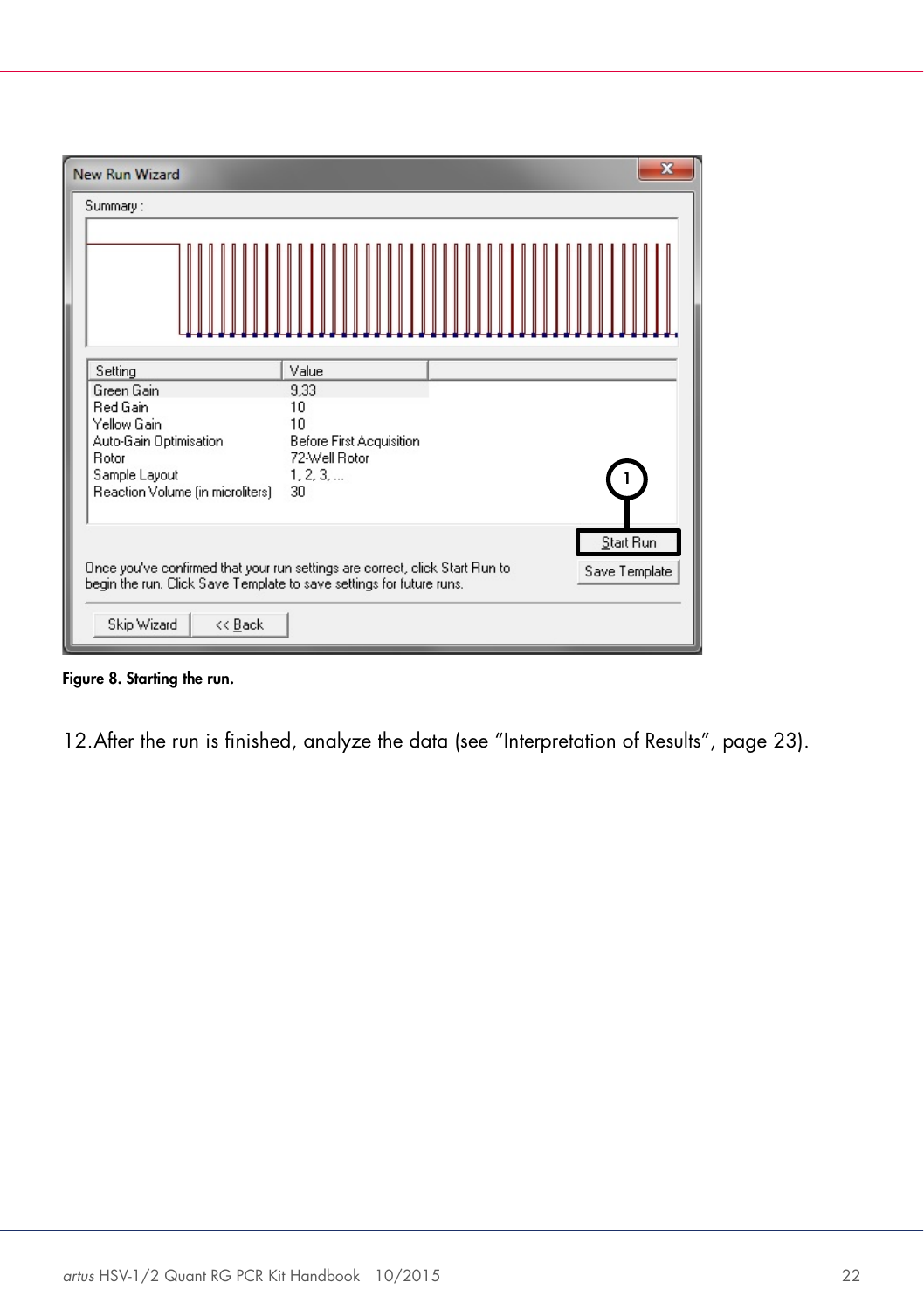| New Run Wizard                                                                                             |                                 |  |  |
|------------------------------------------------------------------------------------------------------------|---------------------------------|--|--|
| Summary:                                                                                                   |                                 |  |  |
|                                                                                                            |                                 |  |  |
| Setting                                                                                                    | Value                           |  |  |
| Green Gain<br>Red Gain                                                                                     | 9,33<br>10                      |  |  |
| Yellow Gain                                                                                                | 10                              |  |  |
| Auto-Gain Optimisation                                                                                     | <b>Before First Acquisition</b> |  |  |
| <b>Botor</b><br>Sample Layout                                                                              | 72-Well Rotor<br>1, 2, 3,       |  |  |
| Reaction Volume (in microliters)                                                                           | 30                              |  |  |
| Start Run<br>Once you've confirmed that your run settings are correct, click Start Run to<br>Save Template |                                 |  |  |
| begin the run. Click Save Template to save settings for future runs.                                       |                                 |  |  |
| Skip Wizard<br>$<<$ Back                                                                                   |                                 |  |  |

Figure 8. Starting the run.

12.After the run is finished, analyze the data (see ["Interpretation of Results"](#page-22-0), page [23\)](#page-22-0).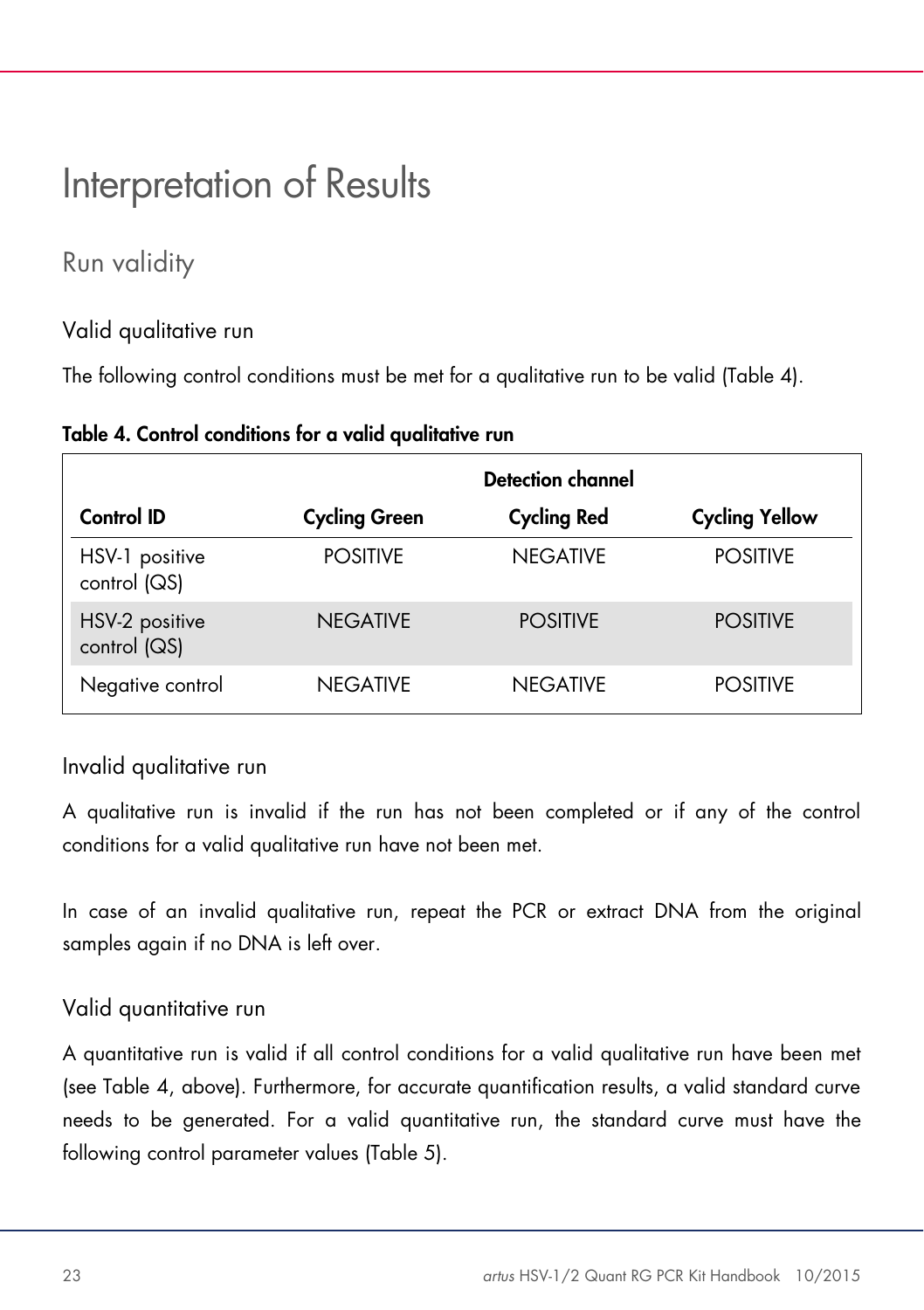# <span id="page-22-0"></span>Interpretation of Results

# <span id="page-22-1"></span>Run validity

### Valid qualitative run

The following control conditions must be met for a qualitative run to be valid (Table 4).

|                                |                      | <b>Detection channel</b> |                       |
|--------------------------------|----------------------|--------------------------|-----------------------|
| <b>Control ID</b>              | <b>Cycling Green</b> | <b>Cycling Red</b>       | <b>Cycling Yellow</b> |
| HSV-1 positive<br>control (QS) | <b>POSITIVE</b>      | <b>NEGATIVE</b>          | <b>POSITIVE</b>       |
| HSV-2 positive<br>control (QS) | <b>NEGATIVE</b>      | <b>POSITIVE</b>          | <b>POSITIVE</b>       |
| Negative control               | <b>NEGATIVE</b>      | <b>NEGATIVE</b>          | <b>POSITIVE</b>       |

#### Table 4. Control conditions for a valid qualitative run

### Invalid qualitative run

A qualitative run is invalid if the run has not been completed or if any of the control conditions for a valid qualitative run have not been met.

In case of an invalid qualitative run, repeat the PCR or extract DNA from the original samples again if no DNA is left over.

### Valid quantitative run

A quantitative run is valid if all control conditions for a valid qualitative run have been met (see Table 4, above). Furthermore, for accurate quantification results, a valid standard curve needs to be generated. For a valid quantitative run, the standard curve must have the following control parameter values (Table 5).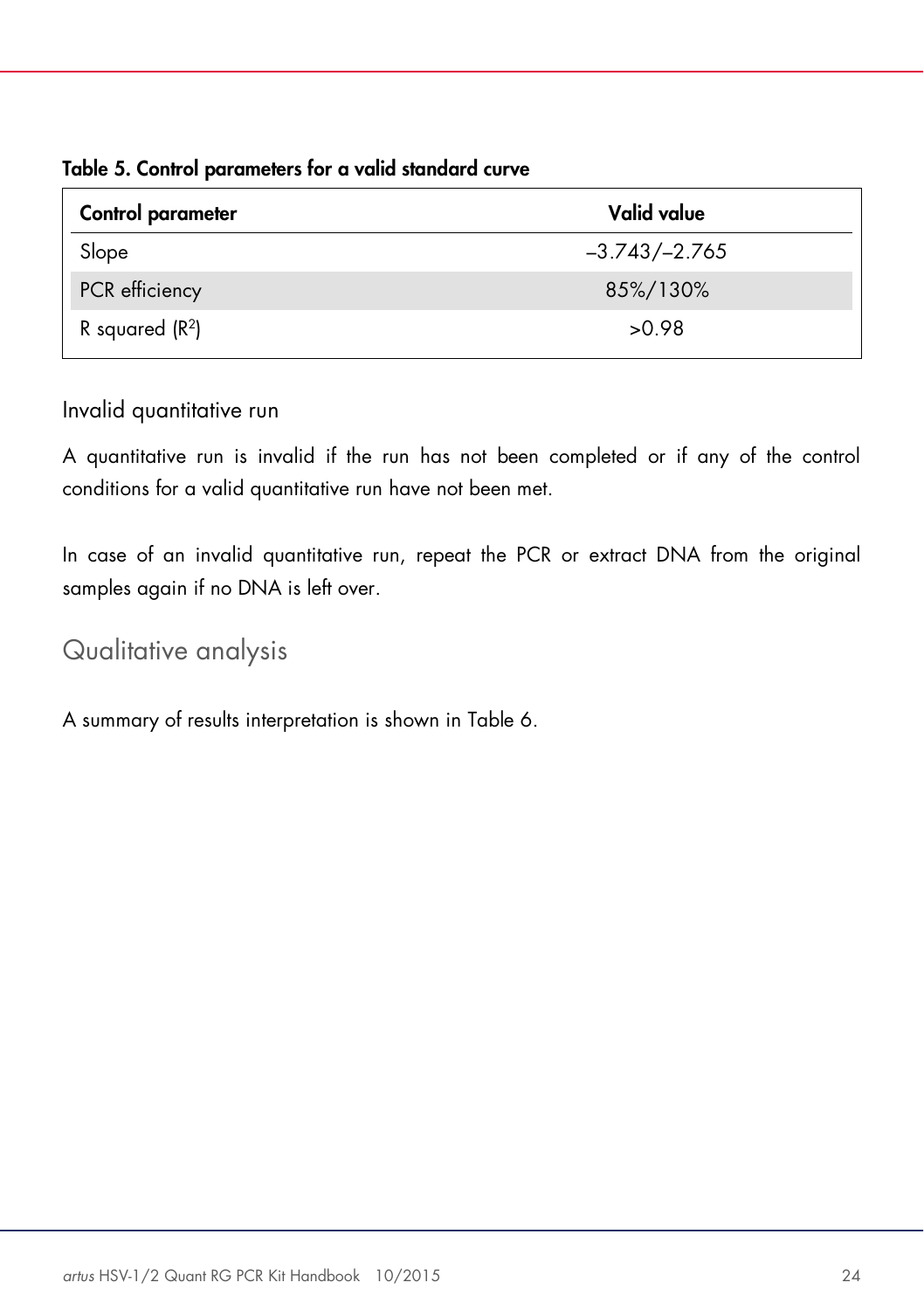Table 5. Control parameters for a valid standard curve

| Control parameter | <b>Valid value</b> |
|-------------------|--------------------|
| Slope             | $-3.743/-2.765$    |
| PCR efficiency    | 85%/130%           |
| R squared $(R2)$  | >0.98              |

Invalid quantitative run

A quantitative run is invalid if the run has not been completed or if any of the control conditions for a valid quantitative run have not been met.

In case of an invalid quantitative run, repeat the PCR or extract DNA from the original samples again if no DNA is left over.

### <span id="page-23-0"></span>Qualitative analysis

A summary of results interpretation is shown in Table 6.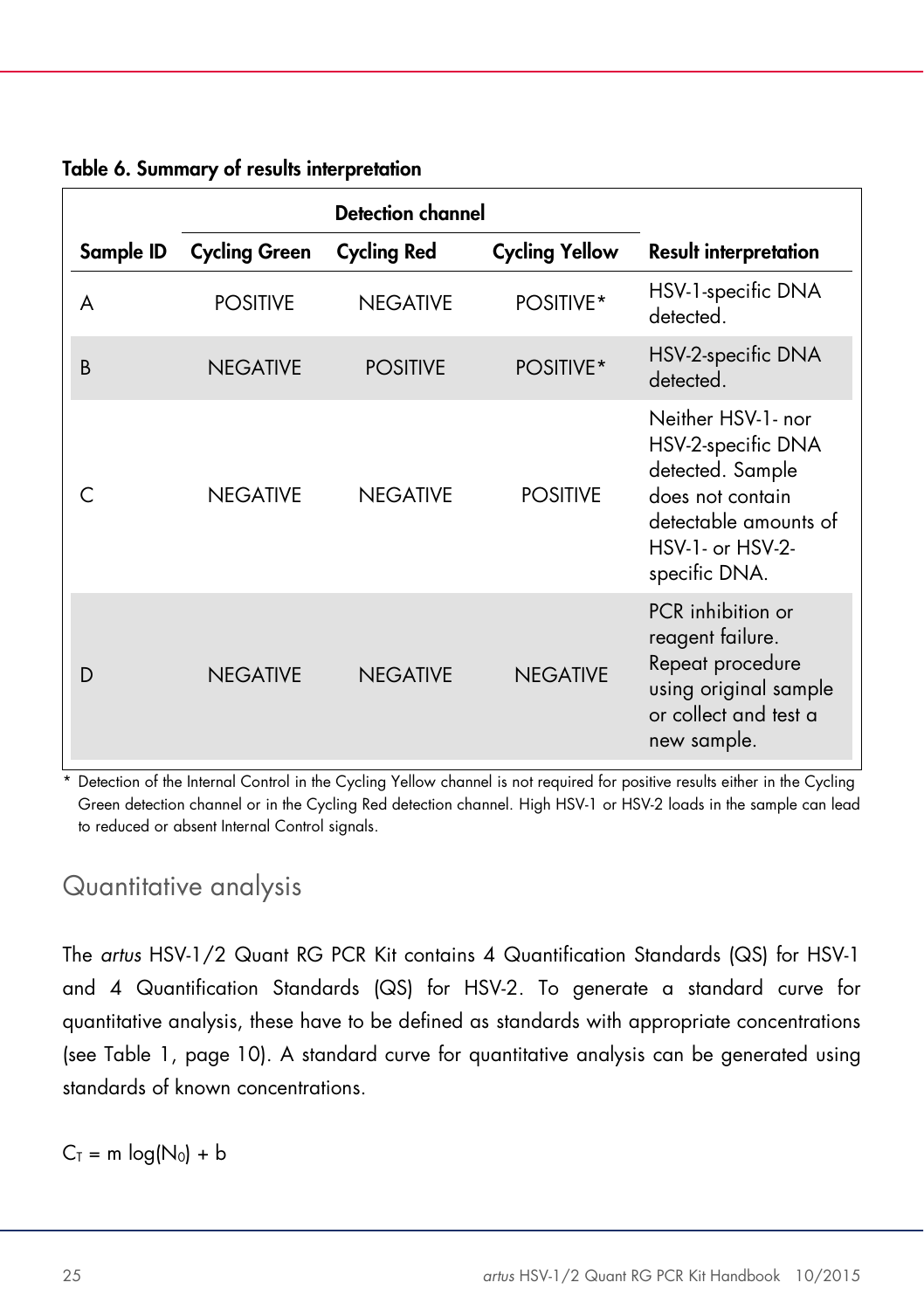|           |                      | <b>Detection channel</b> |                       |                                                                                                                                                       |
|-----------|----------------------|--------------------------|-----------------------|-------------------------------------------------------------------------------------------------------------------------------------------------------|
| Sample ID | <b>Cycling Green</b> | <b>Cycling Red</b>       | <b>Cycling Yellow</b> | <b>Result interpretation</b>                                                                                                                          |
| A         | <b>POSITIVE</b>      | <b>NEGATIVE</b>          | POSITIVE*             | HSV-1-specific DNA<br>detected.                                                                                                                       |
| B         | <b>NEGATIVE</b>      | <b>POSITIVE</b>          | POSITIVE*             | HSV-2-specific DNA<br>detected.                                                                                                                       |
|           | <b>NEGATIVE</b>      | <b>NEGATIVE</b>          | <b>POSITIVE</b>       | Neither HSV-1- nor<br>HSV-2-specific DNA<br>detected. Sample<br>does not contain<br>detectable amounts of<br><b>HSV-1- or HSV-2-</b><br>specific DNA. |
| D         | <b>NEGATIVE</b>      | <b>NEGATIVE</b>          | <b>NEGATIVE</b>       | PCR inhibition or<br>reagent failure.<br>Repeat procedure<br>using original sample<br>or collect and test a<br>new sample.                            |

Table 6. Summary of results interpretation

Detection of the Internal Control in the Cycling Yellow channel is not required for positive results either in the Cycling Green detection channel or in the Cycling Red detection channel. High HSV-1 or HSV-2 loads in the sample can lead to reduced or absent Internal Control signals.

### <span id="page-24-0"></span>Quantitative analysis

The *artus* HSV-1/2 Quant RG PCR Kit contains 4 Quantification Standards (QS) for HSV-1 and 4 Quantification Standards (QS) for HSV-2. To generate a standard curve for quantitative analysis, these have to be defined as standards with appropriate concentrations (see Table 1, page [10\)](#page-9-0). A standard curve for quantitative analysis can be generated using standards of known concentrations.

 $C_T = m log(N_0) + b$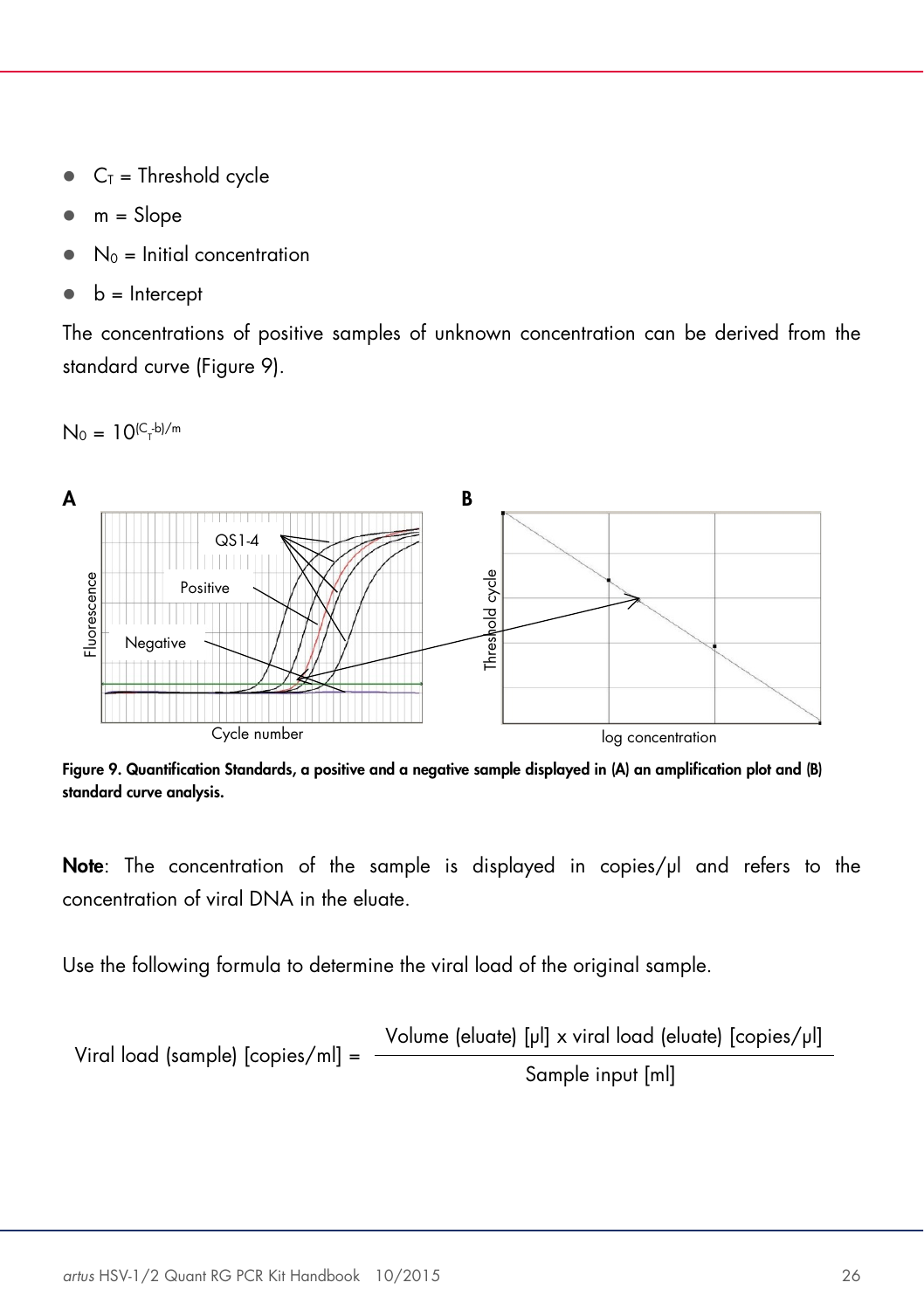- $C_T$  = Threshold cycle
- m = Slope
- $N_0$  = Initial concentration
- $\bullet$  b = Intercept

 $N_0 = 10^{\left(C_1-b\right)/m}$ 

The concentrations of positive samples of unknown concentration can be derived from the standard curve (Figure 9).



Figure 9. Quantification Standards, a positive and a negative sample displayed in (A) an amplification plot and (B) standard curve analysis.

Note: The concentration of the sample is displayed in copies/µl and refers to the concentration of viral DNA in the eluate.

Use the following formula to determine the viral load of the original sample.

Viral load (sample)  $[copies/ml] =$  Volume (eluate)  $[pl] \times$  viral load (eluate)  $[copies/pl]$ Sample input [ml]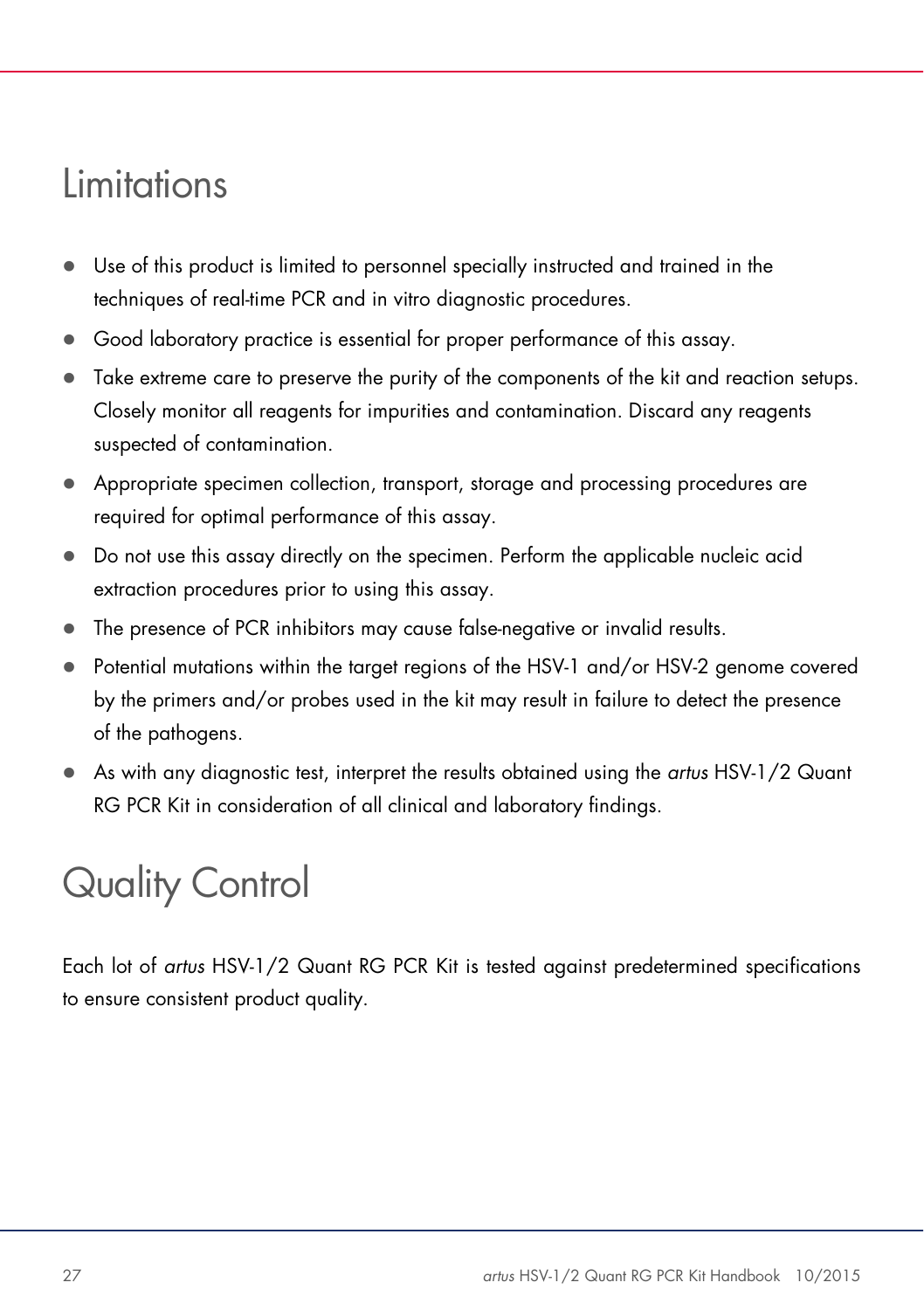# <span id="page-26-0"></span>Limitations

- Use of this product is limited to personnel specially instructed and trained in the techniques of real-time PCR and in vitro diagnostic procedures.
- Good laboratory practice is essential for proper performance of this assay.
- Take extreme care to preserve the purity of the components of the kit and reaction setups. Closely monitor all reagents for impurities and contamination. Discard any reagents suspected of contamination.
- Appropriate specimen collection, transport, storage and processing procedures are required for optimal performance of this assay.
- Do not use this assay directly on the specimen. Perform the applicable nucleic acid extraction procedures prior to using this assay.
- The presence of PCR inhibitors may cause false-negative or invalid results.
- Potential mutations within the target regions of the HSV-1 and/or HSV-2 genome covered by the primers and/or probes used in the kit may result in failure to detect the presence of the pathogens.
- As with any diagnostic test, interpret the results obtained using the *artus* HSV-1/2 Quant RG PCR Kit in consideration of all clinical and laboratory findings.

# <span id="page-26-1"></span>Quality Control

Each lot of *artus* HSV-1/2 Quant RG PCR Kit is tested against predetermined specifications to ensure consistent product quality.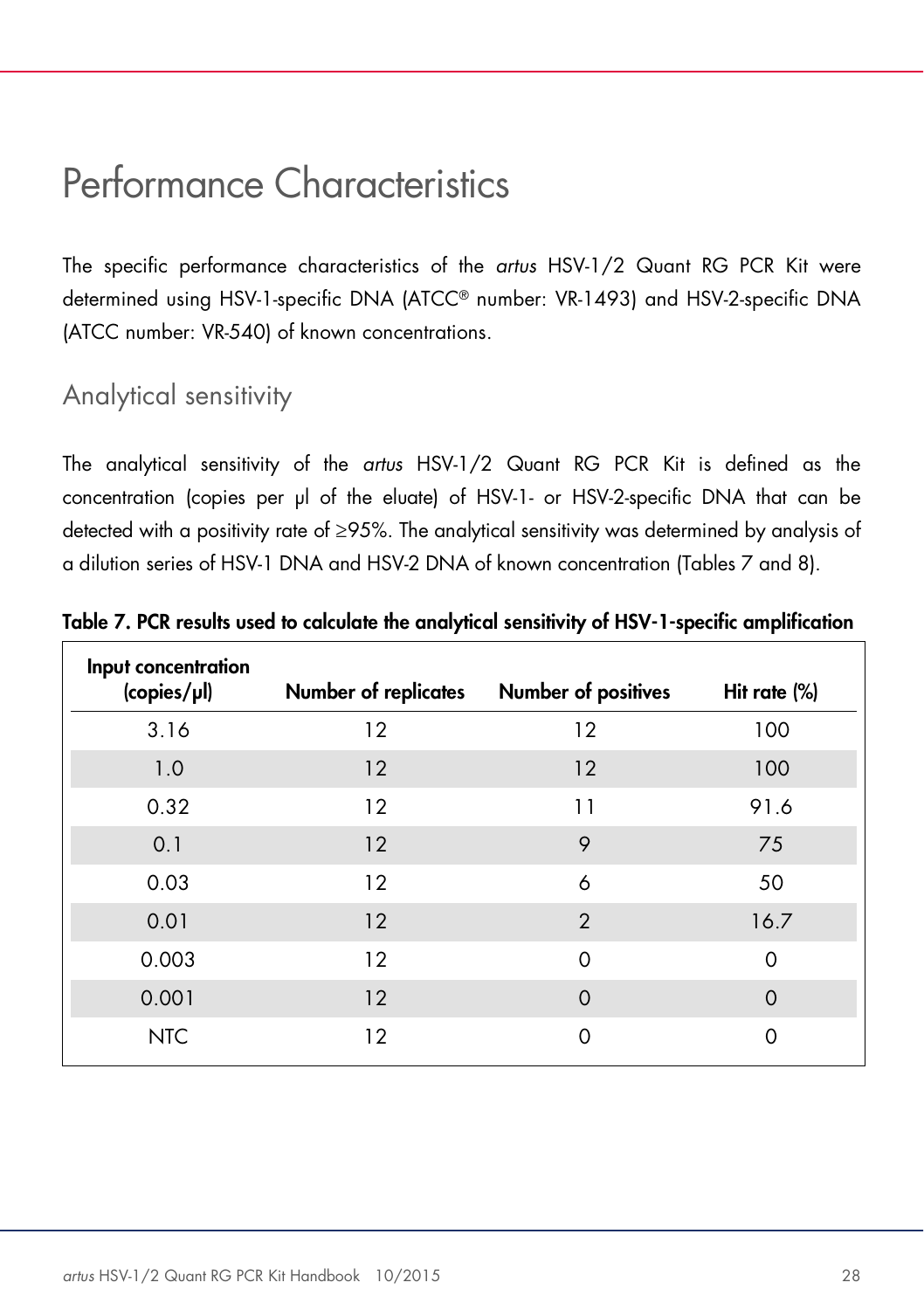# <span id="page-27-0"></span>Performance Characteristics

The specific performance characteristics of the *artus* HSV-1/2 Quant RG PCR Kit were determined using HSV-1-specific DNA (ATCC® number: VR-1493) and HSV-2-specific DNA (ATCC number: VR-540) of known concentrations.

### <span id="page-27-1"></span>Analytical sensitivity

The analytical sensitivity of the *artus* HSV-1/2 Quant RG PCR Kit is defined as the concentration (copies per µl of the eluate) of HSV-1- or HSV-2-specific DNA that can be detected with a positivity rate of ≥95%. The analytical sensitivity was determined by analysis of a dilution series of HSV-1 DNA and HSV-2 DNA of known concentration (Tables 7 and 8).

| Input concentration<br>(copies/µl) | Number of replicates | <b>Number of positives</b> | Hit rate (%) |
|------------------------------------|----------------------|----------------------------|--------------|
| 3.16                               | $12 \,$              | 12                         | 100          |
| 1.0                                | 12                   | 12                         | 100          |
| 0.32                               | 12                   | 11                         | 91.6         |
| 0.1                                | 12                   | 9                          | 75           |
| 0.03                               | $12 \overline{ }$    | 6                          | 50           |
| 0.01                               | 12                   | $\overline{2}$             | 16.7         |
| 0.003                              | 12                   | 0                          | 0            |
| 0.001                              | 12                   | $\Omega$                   | $\Omega$     |
| <b>NTC</b>                         | $12 \,$              | 0                          | 0            |

Table 7. PCR results used to calculate the analytical sensitivity of HSV-1-specific amplification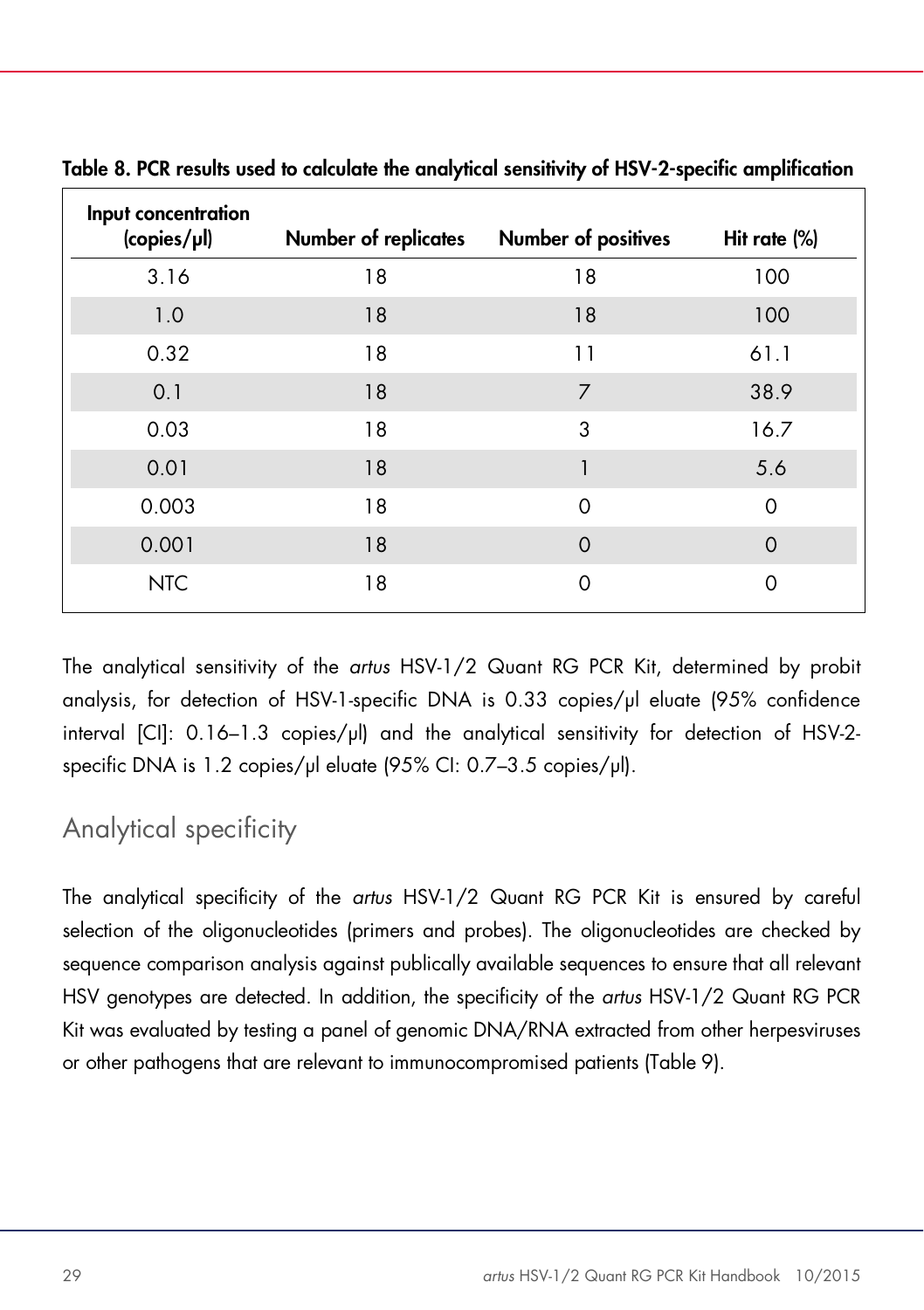| Input concentration<br>(copies/µl) | Number of replicates | <b>Number of positives</b> | Hit rate (%) |
|------------------------------------|----------------------|----------------------------|--------------|
| 3.16                               | 18                   | 18                         | 100          |
| 1.0                                | 18                   | 18                         | 100          |
| 0.32                               | 18                   | 11                         | 61.1         |
| 0.1                                | 18                   | 7                          | 38.9         |
| 0.03                               | 18                   | 3                          | 16.7         |
| 0.01                               | 18                   |                            | 5.6          |
| 0.003                              | 18                   | $\Omega$                   | $\Omega$     |
| 0.001                              | 18                   | $\Omega$                   | $\Omega$     |
| <b>NTC</b>                         | 18                   | 0                          | $\Omega$     |

Table 8. PCR results used to calculate the analytical sensitivity of HSV-2-specific amplification

The analytical sensitivity of the *artus* HSV-1/2 Quant RG PCR Kit, determined by probit analysis, for detection of HSV-1-specific DNA is 0.33 copies/µl eluate (95% confidence interval [CI]: 0.16–1.3 copies/ull and the analytical sensitivity for detection of HSV-2specific DNA is 1.2 copies/ul eluate (95% CI: 0.7–3.5 copies/ul).

# <span id="page-28-0"></span>Analytical specificity

The analytical specificity of the *artus* HSV-1/2 Quant RG PCR Kit is ensured by careful selection of the oligonucleotides (primers and probes). The oligonucleotides are checked by sequence comparison analysis against publically available sequences to ensure that all relevant HSV genotypes are detected. In addition, the specificity of the *artus* HSV-1/2 Quant RG PCR Kit was evaluated by testing a panel of genomic DNA/RNA extracted from other herpesviruses or other pathogens that are relevant to immunocompromised patients (Table 9).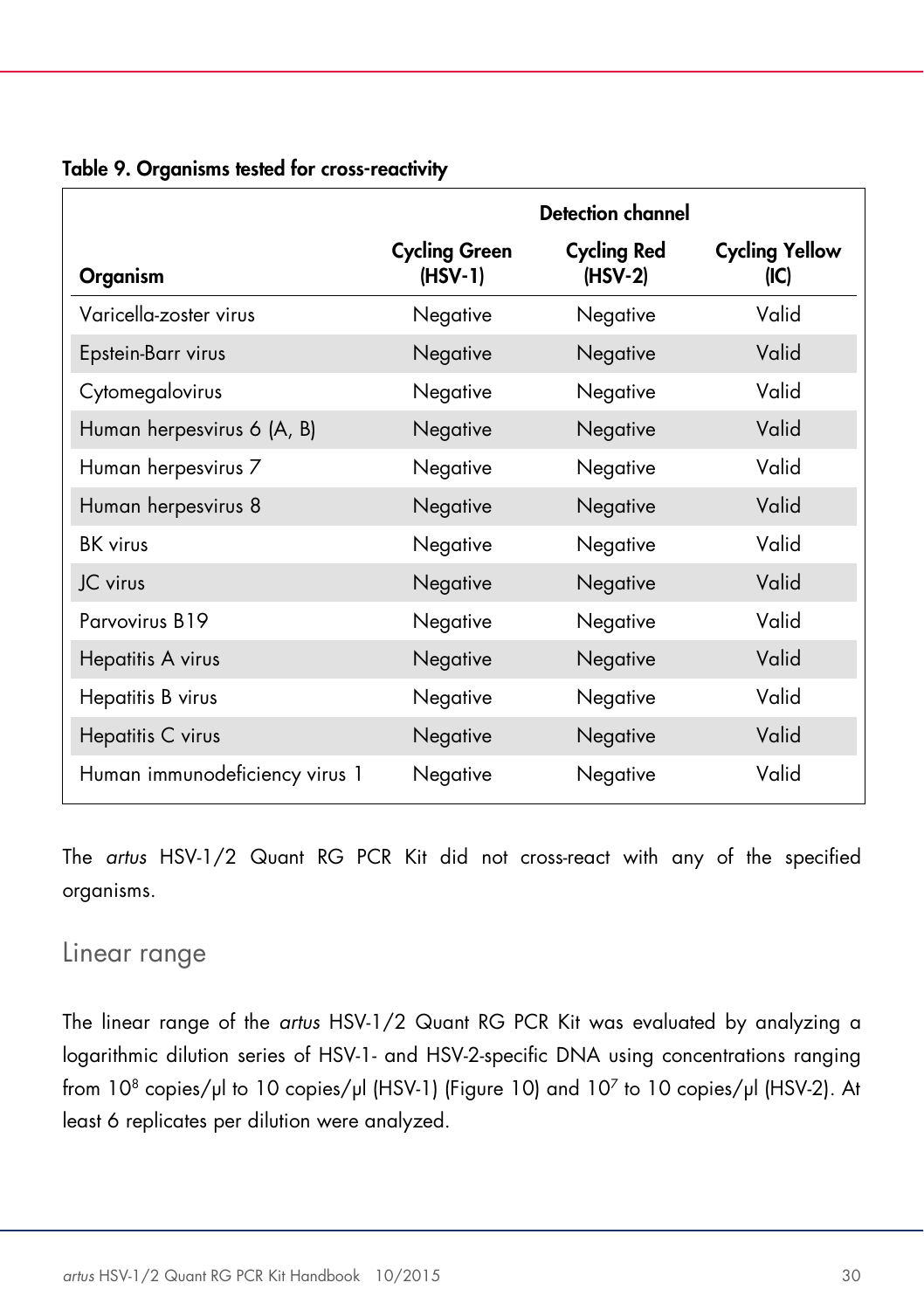|                                |                                   | <b>Detection channel</b>        |                               |
|--------------------------------|-----------------------------------|---------------------------------|-------------------------------|
| Organism                       | <b>Cycling Green</b><br>$(HSV-1)$ | <b>Cycling Red</b><br>$(HSV-2)$ | <b>Cycling Yellow</b><br>(IC) |
| Varicella-zoster virus         | Negative                          | Negative                        | Valid                         |
| Epstein-Barr virus             | Negative                          | Negative                        | Valid                         |
| Cytomegalovirus                | Negative                          | Negative                        | Valid                         |
| Human herpesvirus 6 (A, B)     | Negative                          | Negative                        | Valid                         |
| Human herpesvirus 7            | Negative                          | Negative                        | Valid                         |
| Human herpesvirus 8            | Negative                          | Negative                        | Valid                         |
| <b>BK</b> virus                | Negative                          | Negative                        | Valid                         |
| JC virus                       | Negative                          | Negative                        | Valid                         |
| Parvovirus B19                 | Negative                          | Negative                        | Valid                         |
| Hepatitis A virus              | Negative                          | Negative                        | Valid                         |
| Hepatitis B virus              | Negative                          | Negative                        | Valid                         |
| Hepatitis C virus              | Negative                          | Negative                        | Valid                         |
| Human immunodeficiency virus 1 | Negative                          | Negative                        | Valid                         |

#### Table 9. Organisms tested for cross-reactivity

The *artus* HSV-1/2 Quant RG PCR Kit did not cross-react with any of the specified organisms.

### <span id="page-29-0"></span>Linear range

The linear range of the *artus* HSV-1/2 Quant RG PCR Kit was evaluated by analyzing a logarithmic dilution series of HSV-1- and HSV-2-specific DNA using concentrations ranging from 10<sup>8</sup> copies/µl to 10 copies/µl (HSV-1) (Figure 10) and 10<sup>7</sup> to 10 copies/µl (HSV-2). At least 6 replicates per dilution were analyzed.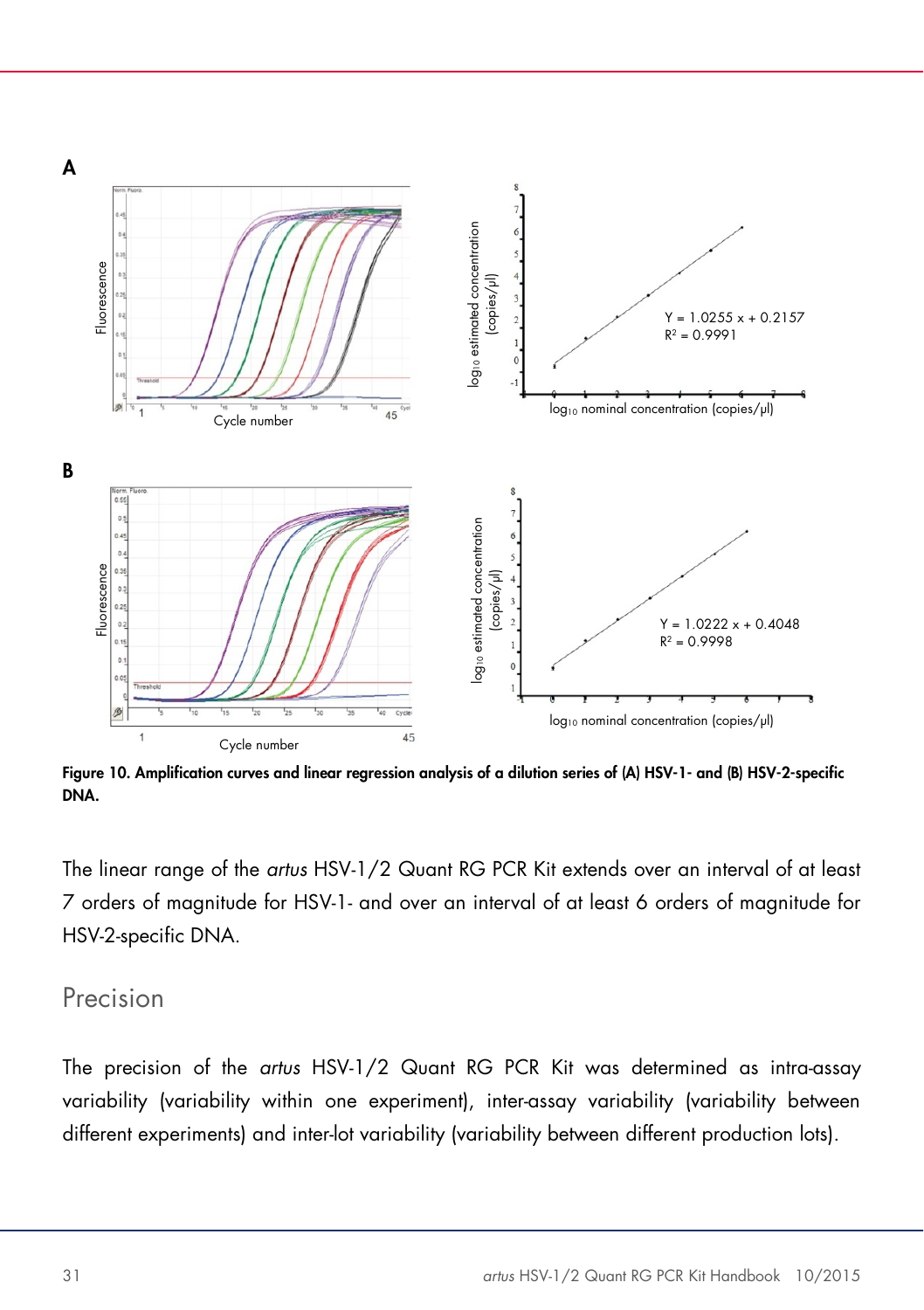

Figure 10. Amplification curves and linear regression analysis of a dilution series of (A) HSV-1- and (B) HSV-2-specific DNA.

The linear range of the *artus* HSV-1/2 Quant RG PCR Kit extends over an interval of at least 7 orders of magnitude for HSV-1- and over an interval of at least 6 orders of magnitude for HSV-2-specific DNA.

### <span id="page-30-0"></span>Precision

The precision of the *artus* HSV-1/2 Quant RG PCR Kit was determined as intra-assay variability (variability within one experiment), inter-assay variability (variability between different experiments) and inter-lot variability (variability between different production lots).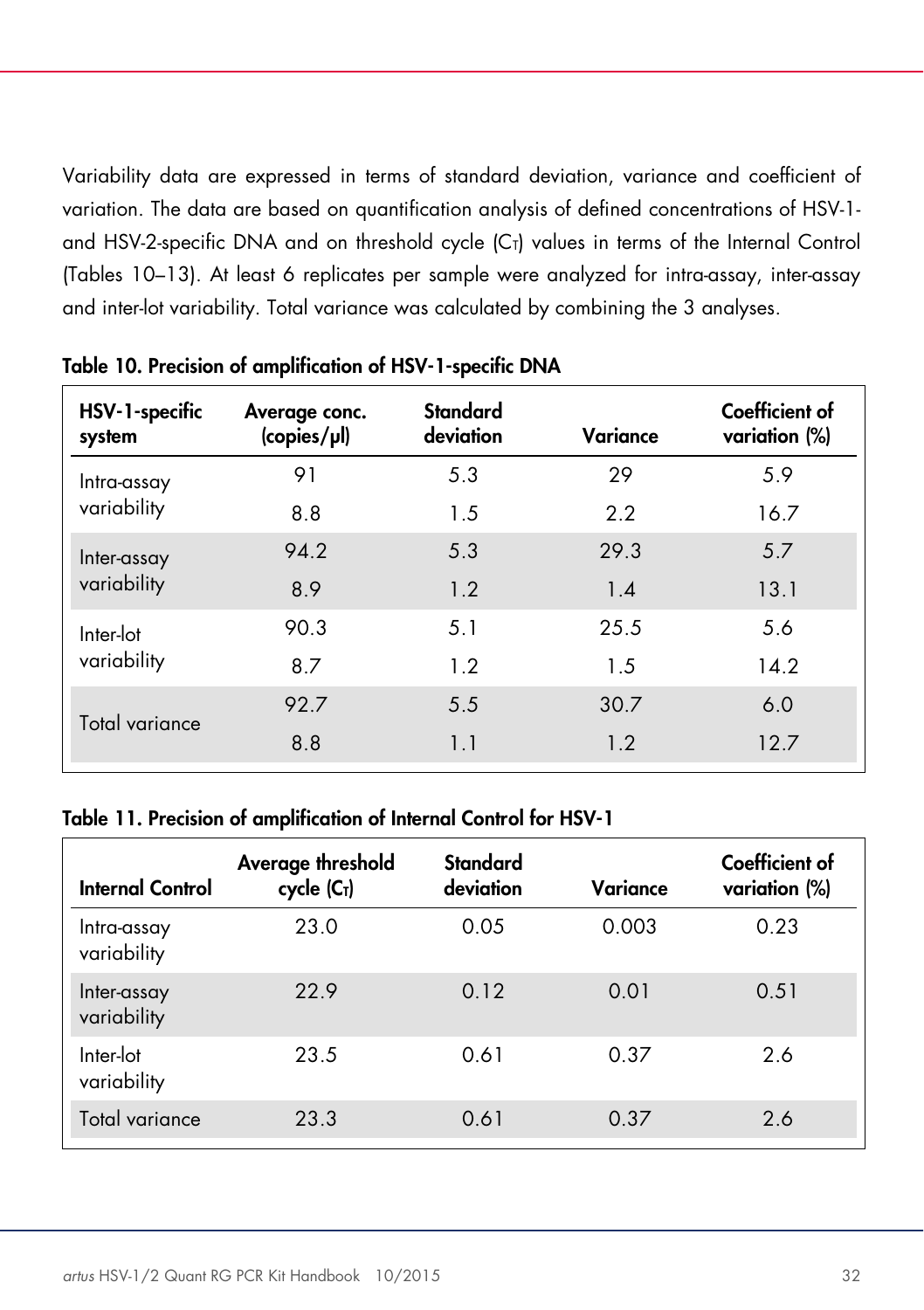Variability data are expressed in terms of standard deviation, variance and coefficient of variation. The data are based on quantification analysis of defined concentrations of HSV-1 and HSV-2-specific DNA and on threshold cycle  $(C<sub>T</sub>)$  values in terms of the Internal Control (Tables 10–13). At least 6 replicates per sample were analyzed for intra-assay, inter-assay and inter-lot variability. Total variance was calculated by combining the 3 analyses.

| HSV-1-specific<br>system | Average conc.<br>$\langle \text{copies}/\mu \rangle$ | <b>Standard</b><br>deviation | Variance | Coefficient of<br>variation (%) |
|--------------------------|------------------------------------------------------|------------------------------|----------|---------------------------------|
| Intra-assay              | 91                                                   | 5.3                          | 29       | 5.9                             |
| variability              | 8.8                                                  | 1.5                          | 2.2      | 16.7                            |
| Inter-assay              | 94.2                                                 | 5.3                          | 29.3     | 5.7                             |
| variability              | 8.9                                                  | 1.2                          | 1.4      | 13.1                            |
| Inter-lot                | 90.3                                                 | 5.1                          | 25.5     | 5.6                             |
| variability              | 8.7                                                  | 1.2                          | 1.5      | 14.2                            |
|                          | 92.7                                                 | 5.5                          | 30.7     | 6.0                             |
| Total variance           | 8.8                                                  | 1.1                          | 1.2      | 12.7                            |

#### Table 10. Precision of amplification of HSV-1-specific DNA

#### Table 11. Precision of amplification of Internal Control for HSV-1

| <b>Internal Control</b>    | Average threshold<br>cycle (C <sub>T</sub> ) | <b>Standard</b><br>deviation | Variance | Coefficient of<br>variation (%) |
|----------------------------|----------------------------------------------|------------------------------|----------|---------------------------------|
| Intra-assay<br>variability | 23.0                                         | 0.05                         | 0.003    | 0.23                            |
| Inter-assay<br>variability | 22.9                                         | 0.12                         | 0.01     | 0.51                            |
| Inter-lot<br>variability   | 23.5                                         | 0.61                         | 0.37     | 2.6                             |
| Total variance             | 23.3                                         | 0.61                         | 0.37     | 2.6                             |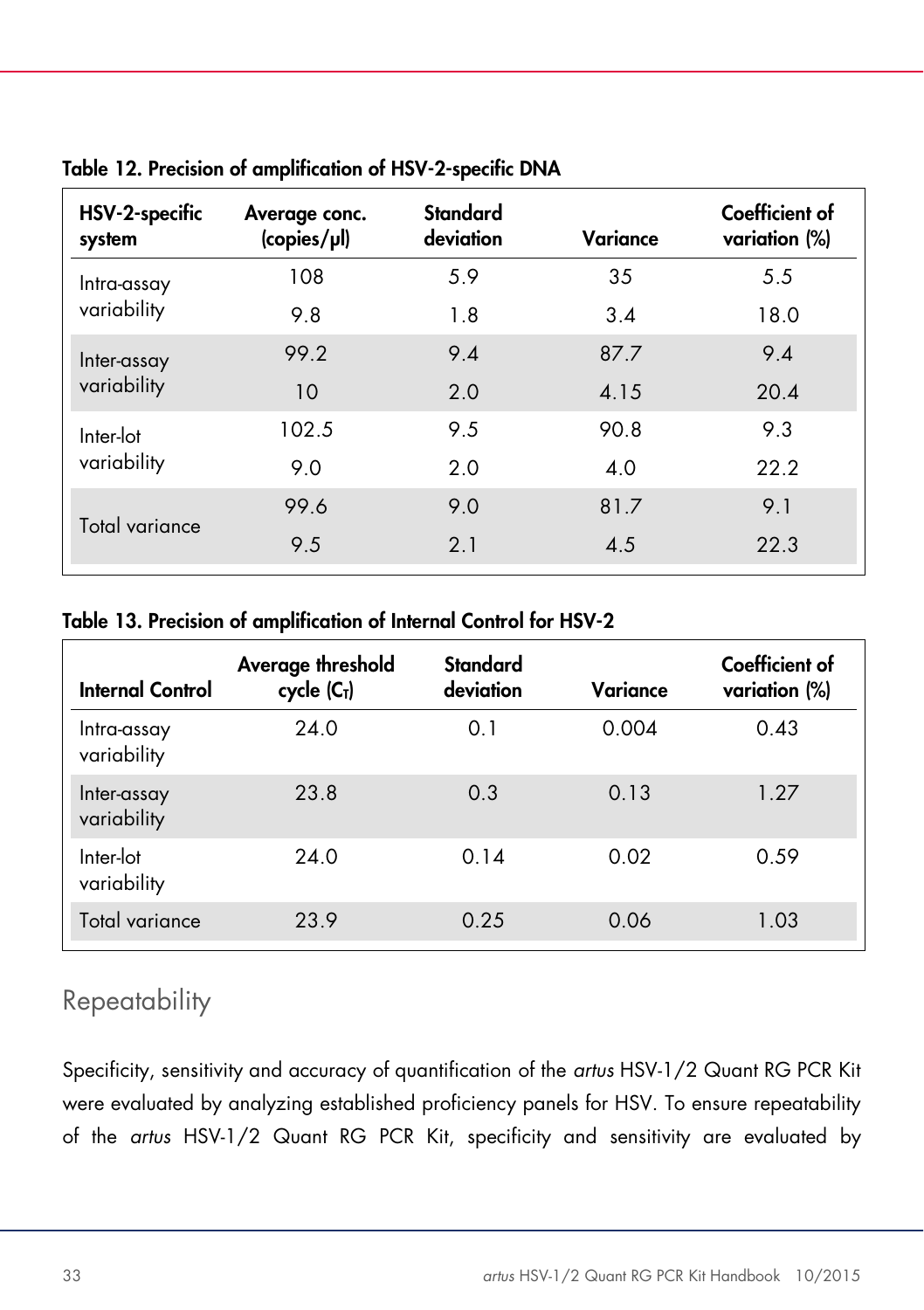| HSV-2-specific<br>system | Average conc.<br>$\langle \text{copies}/\mu \rangle$ | <b>Standard</b><br>deviation | Variance | <b>Coefficient of</b><br>variation (%) |
|--------------------------|------------------------------------------------------|------------------------------|----------|----------------------------------------|
| Intra-assay              | 108                                                  | 5.9                          | 35       | 5.5                                    |
| variability              | 9.8                                                  | 1.8                          | 3.4      | 18.0                                   |
| Inter-assay              | 99.2                                                 | 9.4                          | 87.7     | 9.4                                    |
| variability              | 10                                                   | 2.0                          | 4.15     | 20.4                                   |
| Inter-lot                | 102.5                                                | 9.5                          | 90.8     | 9.3                                    |
| variability              | 9.0                                                  | 2.0                          | 4.0      | 22.2                                   |
|                          | 99.6                                                 | 9.0                          | 81.7     | 9.1                                    |
| Total variance           | 9.5                                                  | 2.1                          | 4.5      | 22.3                                   |

Table 12. Precision of amplification of HSV-2-specific DNA

#### Table 13. Precision of amplification of Internal Control for HSV-2

| Internal Control           | Average threshold<br>cycle (C <sub>T</sub> ) | <b>Standard</b><br>deviation | Variance | Coefficient of<br>variation (%) |
|----------------------------|----------------------------------------------|------------------------------|----------|---------------------------------|
| Intra-assay<br>variability | 24.0                                         | 0.1                          | 0.004    | 0.43                            |
| Inter-assay<br>variability | 23.8                                         | 0.3                          | 0.13     | 1.27                            |
| Inter-lot<br>variability   | 24.0                                         | 0.14                         | 0.02     | 0.59                            |
| Total variance             | 23.9                                         | 0.25                         | 0.06     | 1.03                            |

# <span id="page-32-0"></span>Repeatability

Specificity, sensitivity and accuracy of quantification of the *artus* HSV-1/2 Quant RG PCR Kit were evaluated by analyzing established proficiency panels for HSV. To ensure repeatability of the *artus* HSV-1/2 Quant RG PCR Kit, specificity and sensitivity are evaluated by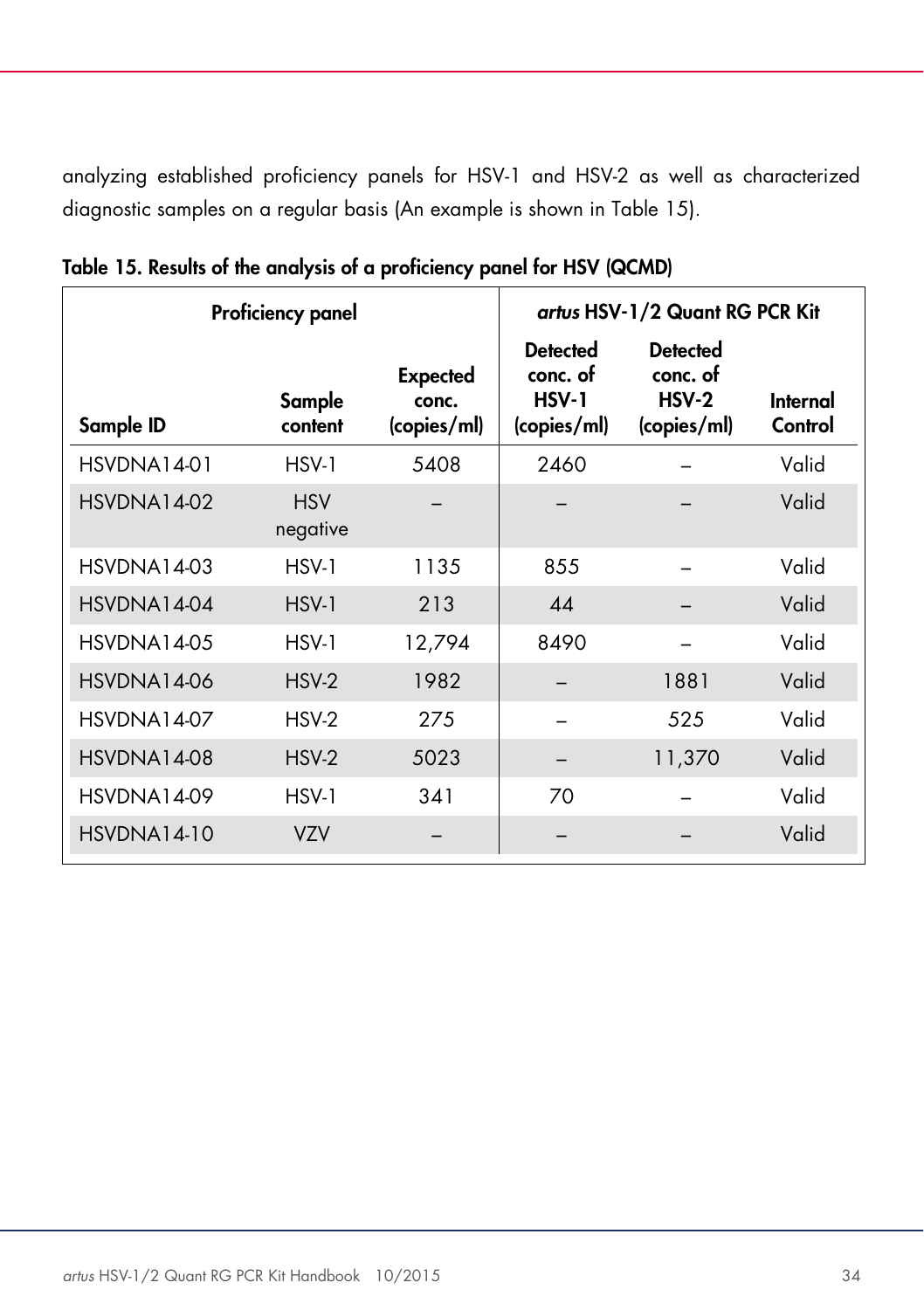analyzing established proficiency panels for HSV-1 and HSV-2 as well as characterized diagnostic samples on a regular basis (An example is shown in Table 15).

| <b>Proficiency panel</b> |                        |                                         | artus HSV-1/2 Quant RG PCR Kit                      |                                                       |                     |
|--------------------------|------------------------|-----------------------------------------|-----------------------------------------------------|-------------------------------------------------------|---------------------|
| Sample ID                | Sample<br>content      | <b>Expected</b><br>conc.<br>(copies/ml) | <b>Detected</b><br>conc. of<br>HSV-1<br>(copies/ml) | <b>Detected</b><br>conc. of<br>$HSV-2$<br>(copies/ml) | Internal<br>Control |
| HSVDNA14-01              | HSV-1                  | 5408                                    | 2460                                                |                                                       | Valid               |
| HSVDNA14-02              | <b>HSV</b><br>negative |                                         |                                                     |                                                       | Valid               |
| HSVDNA14-03              | HSV-1                  | 1135                                    | 855                                                 |                                                       | Valid               |
| HSVDNA14-04              | HSV-1                  | 213                                     | 44                                                  |                                                       | Valid               |
| HSVDNA14-05              | HSV-1                  | 12,794                                  | 8490                                                |                                                       | Valid               |
| HSVDNA14-06              | HSV-2                  | 1982                                    |                                                     | 1881                                                  | Valid               |
| HSVDNA14-07              | $HSV-2$                | 275                                     |                                                     | 525                                                   | Valid               |
| HSVDNA14-08              | HSV-2                  | 5023                                    |                                                     | 11,370                                                | Valid               |
| HSVDNA14-09              | HSV-1                  | 341                                     | 70                                                  |                                                       | Valid               |
| HSVDNA14-10              | <b>VZV</b>             |                                         |                                                     |                                                       | Valid               |

Table 15. Results of the analysis of a proficiency panel for HSV (QCMD)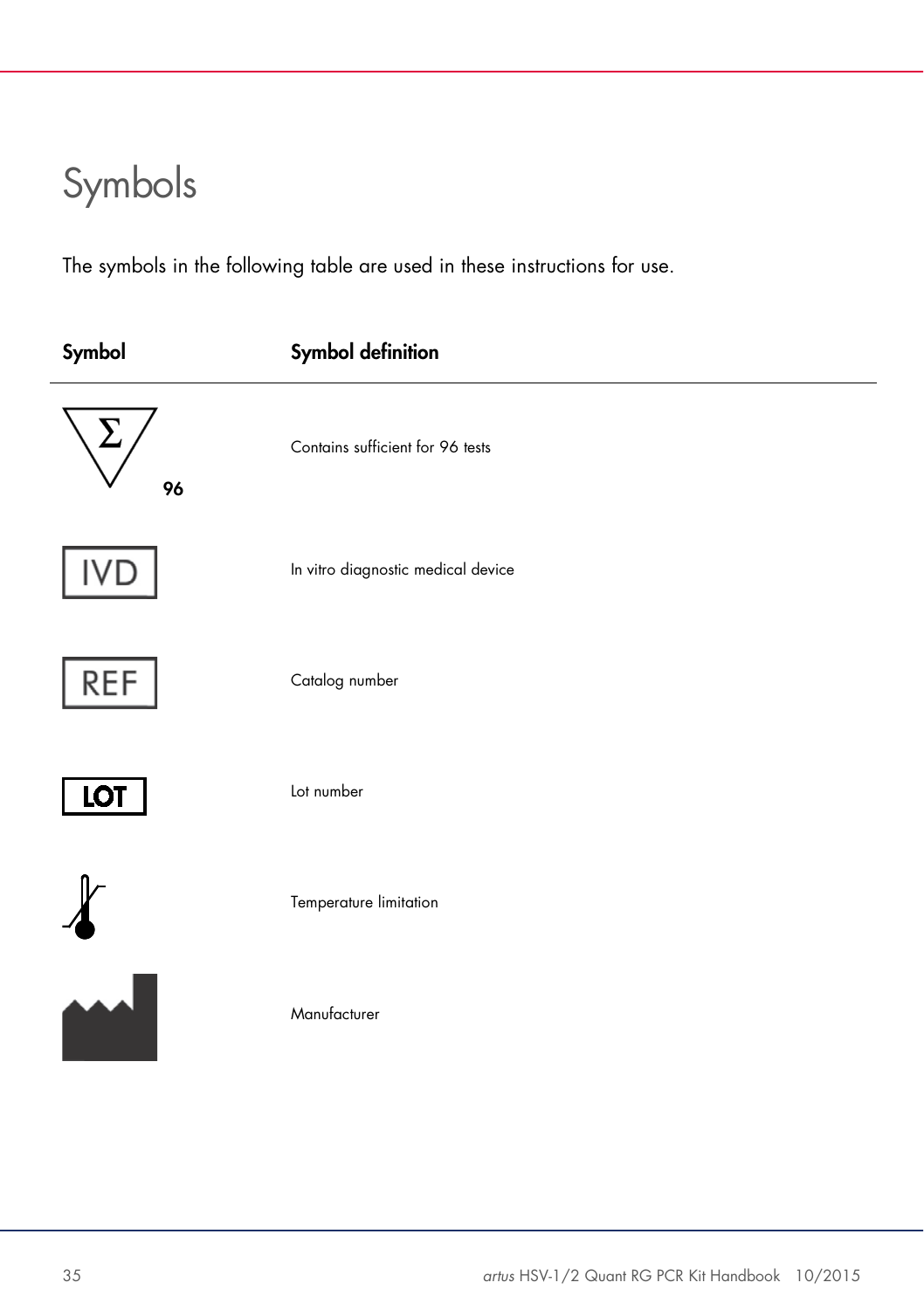# <span id="page-34-0"></span>Symbols

The symbols in the following table are used in these instructions for use.

| Symbol     | <b>Symbol definition</b>           |
|------------|------------------------------------|
| 96         | Contains sufficient for 96 tests   |
|            | In vitro diagnostic medical device |
| <b>REF</b> | Catalog number                     |
| LOT        | Lot number                         |
|            | Temperature limitation             |
|            | Manufacturer                       |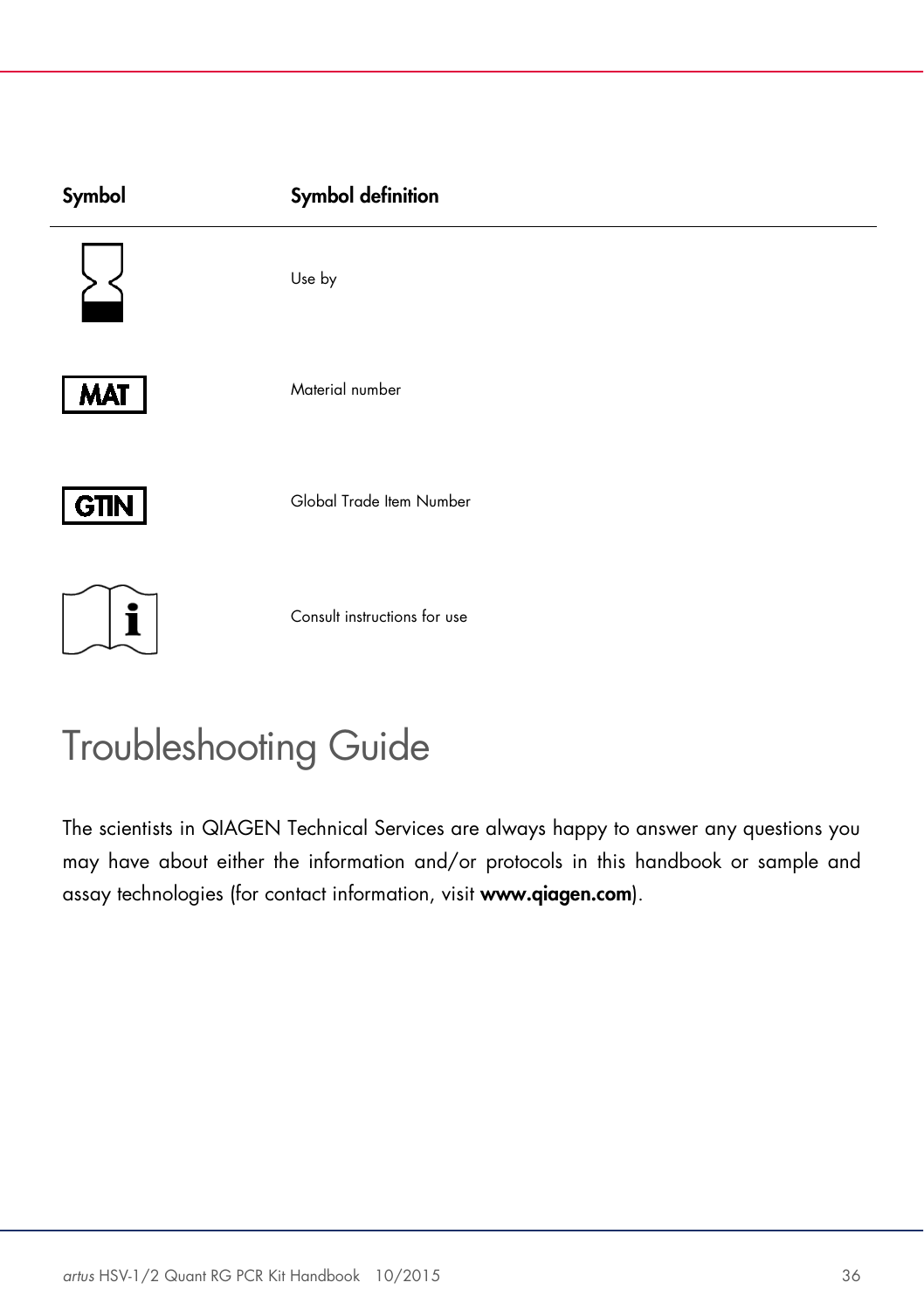| Symbol      | <b>Symbol definition</b>     |
|-------------|------------------------------|
|             | Use by                       |
| <b>MAT</b>  | Material number              |
| <b>GTIN</b> | Global Trade Item Number     |
| i           | Consult instructions for use |

# <span id="page-35-0"></span>Troubleshooting Guide

The scientists in QIAGEN Technical Services are always happy to answer any questions you may have about either the information and/or protocols in this handbook or sample and assay technologies (for contact information, visit www.qiagen.com).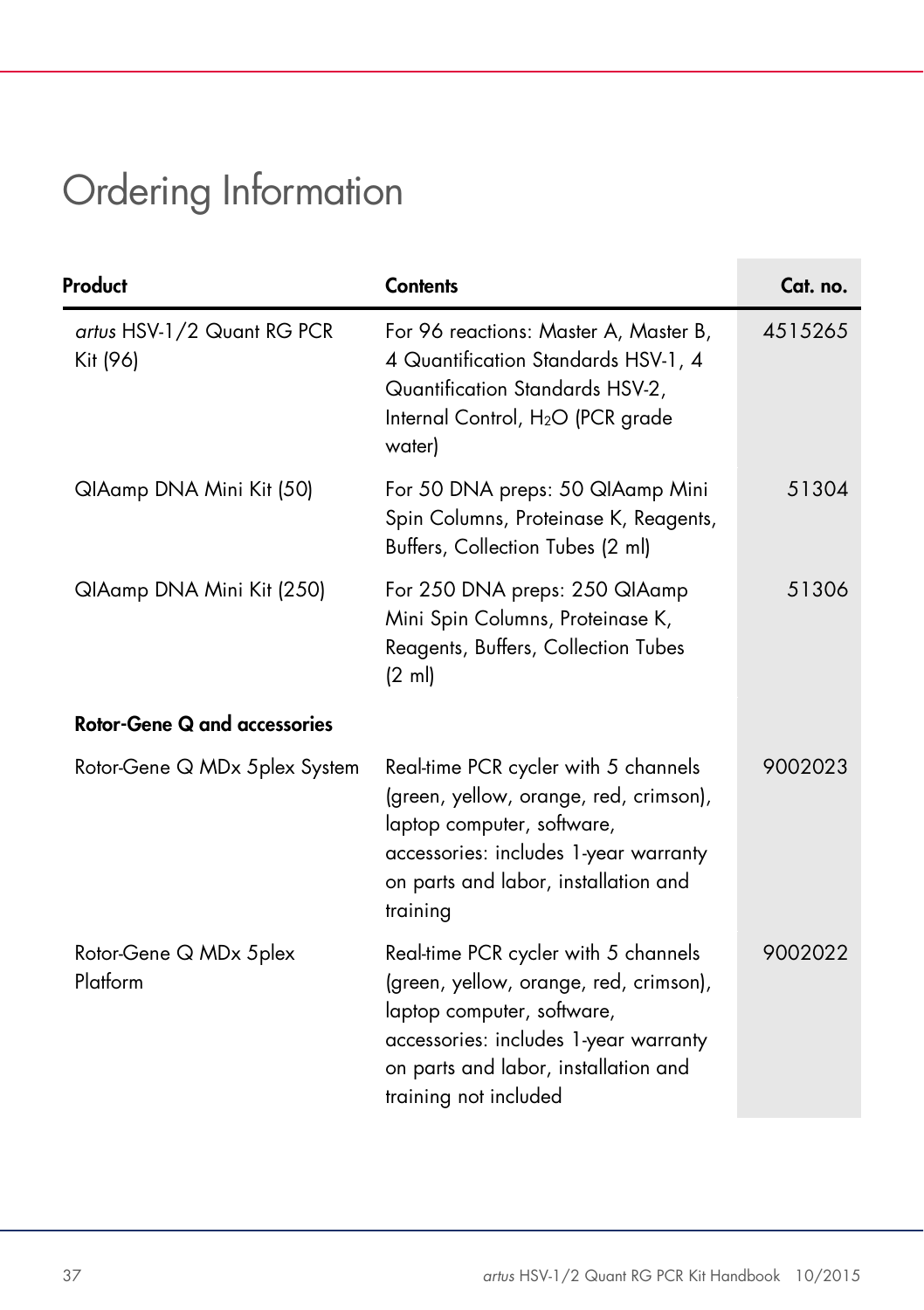# <span id="page-36-0"></span>Ordering Information

| Product                                | <b>Contents</b>                                                                                                                                                                                                        | Cat. no. |
|----------------------------------------|------------------------------------------------------------------------------------------------------------------------------------------------------------------------------------------------------------------------|----------|
| artus HSV-1/2 Quant RG PCR<br>Kit (96) | For 96 reactions: Master A, Master B,<br>4 Quantification Standards HSV-1, 4<br>Quantification Standards HSV-2,<br>Internal Control, H <sub>2</sub> O (PCR grade<br>water)                                             | 4515265  |
| QIAamp DNA Mini Kit (50)               | For 50 DNA preps: 50 QIAamp Mini<br>Spin Columns, Proteinase K, Reagents,<br>Buffers, Collection Tubes (2 ml)                                                                                                          | 51304    |
| QIAamp DNA Mini Kit (250)              | For 250 DNA preps: 250 QIAamp<br>Mini Spin Columns, Proteinase K,<br>Reagents, Buffers, Collection Tubes<br>$(2 \text{ ml})$                                                                                           | 51306    |
| Rotor-Gene Q and accessories           |                                                                                                                                                                                                                        |          |
| Rotor-Gene Q MDx 5plex System          | Real-time PCR cycler with 5 channels<br>(green, yellow, orange, red, crimson),<br>laptop computer, software,<br>accessories: includes 1-year warranty<br>on parts and labor, installation and<br>training              | 9002023  |
| Rotor-Gene Q MDx 5plex<br>Platform     | Real-time PCR cycler with 5 channels<br>(green, yellow, orange, red, crimson),<br>laptop computer, software,<br>accessories: includes 1-year warranty<br>on parts and labor, installation and<br>training not included | 9002022  |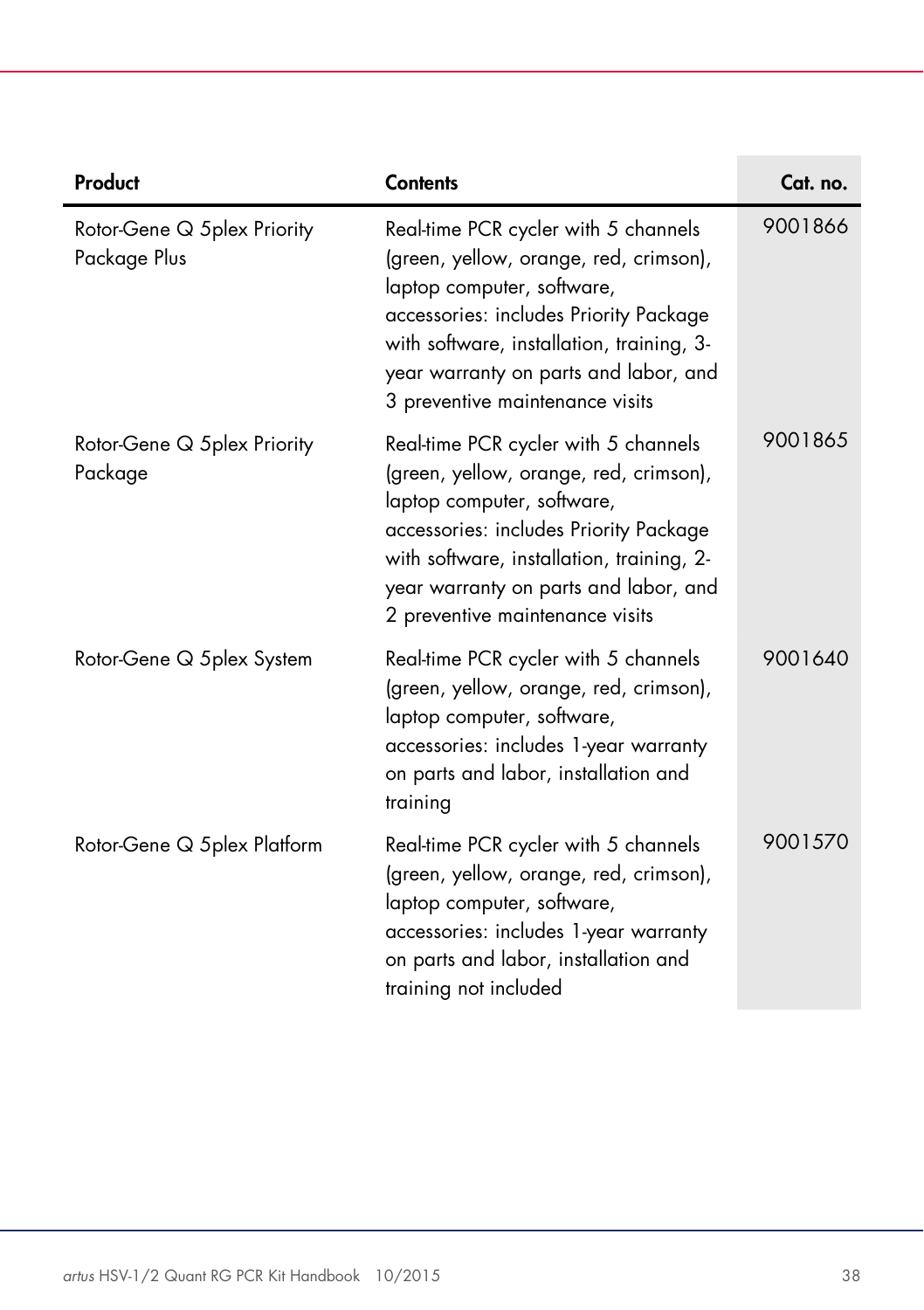| Product                                     | <b>Contents</b>                                                                                                                                                                                                                                                                 | Cat. no. |
|---------------------------------------------|---------------------------------------------------------------------------------------------------------------------------------------------------------------------------------------------------------------------------------------------------------------------------------|----------|
| Rotor-Gene Q 5plex Priority<br>Package Plus | Real-time PCR cycler with 5 channels<br>(green, yellow, orange, red, crimson),<br>laptop computer, software,<br>accessories: includes Priority Package<br>with software, installation, training, 3-<br>year warranty on parts and labor, and<br>3 preventive maintenance visits | 9001866  |
| Rotor-Gene Q 5plex Priority<br>Package      | Real-time PCR cycler with 5 channels<br>(green, yellow, orange, red, crimson),<br>laptop computer, software,<br>accessories: includes Priority Package<br>with software, installation, training, 2-<br>year warranty on parts and labor, and<br>2 preventive maintenance visits | 9001865  |
| Rotor-Gene Q 5plex System                   | Real-time PCR cycler with 5 channels<br>(green, yellow, orange, red, crimson),<br>laptop computer, software,<br>accessories: includes 1-year warranty<br>on parts and labor, installation and<br>training                                                                       | 9001640  |
| Rotor-Gene Q 5 plex Platform                | Real-time PCR cycler with 5 channels<br>(green, yellow, orange, red, crimson),<br>laptop computer, software,<br>accessories: includes 1-year warranty<br>on parts and labor, installation and<br>training not included                                                          | 9001570  |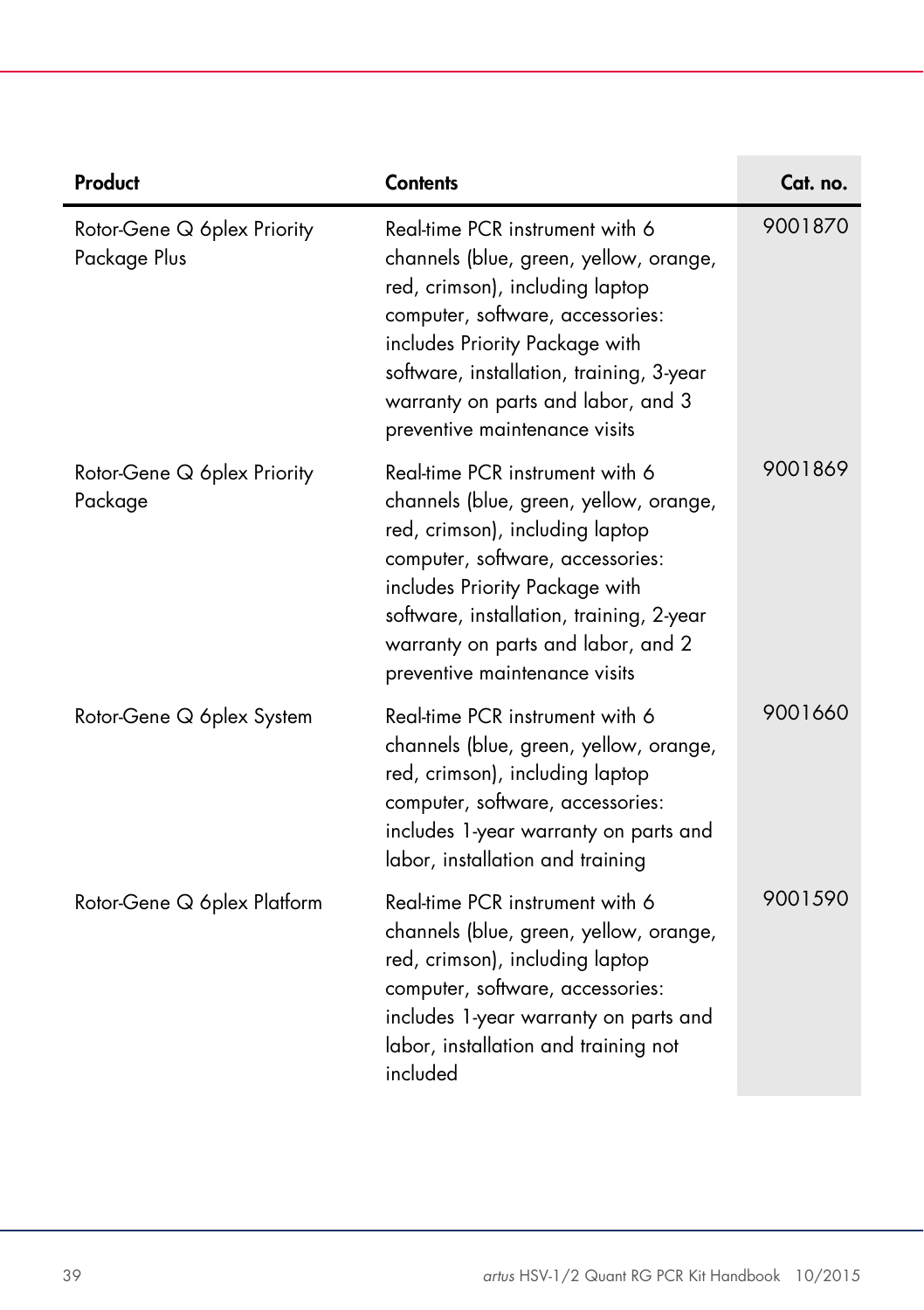| Product                                     | <b>Contents</b>                                                                                                                                                                                                                                                                                       | Cat. no. |
|---------------------------------------------|-------------------------------------------------------------------------------------------------------------------------------------------------------------------------------------------------------------------------------------------------------------------------------------------------------|----------|
| Rotor-Gene Q 6plex Priority<br>Package Plus | Real-time PCR instrument with 6<br>channels (blue, green, yellow, orange,<br>red, crimson), including laptop<br>computer, software, accessories:<br>includes Priority Package with<br>software, installation, training, 3-year<br>warranty on parts and labor, and 3<br>preventive maintenance visits | 9001870  |
| Rotor-Gene Q 6plex Priority<br>Package      | Real-time PCR instrument with 6<br>channels (blue, green, yellow, orange,<br>red, crimson), including laptop<br>computer, software, accessories:<br>includes Priority Package with<br>software, installation, training, 2-year<br>warranty on parts and labor, and 2<br>preventive maintenance visits | 9001869  |
| Rotor-Gene Q 6plex System                   | Real-time PCR instrument with 6<br>channels (blue, green, yellow, orange,<br>red, crimson), including laptop<br>computer, software, accessories:<br>includes 1-year warranty on parts and<br>labor, installation and training                                                                         | 9001660  |
| Rotor-Gene Q 6plex Platform                 | Real-time PCR instrument with 6<br>channels (blue, green, yellow, orange,<br>red, crimson), including laptop<br>computer, software, accessories:<br>includes 1-year warranty on parts and<br>labor, installation and training not<br>included                                                         | 9001590  |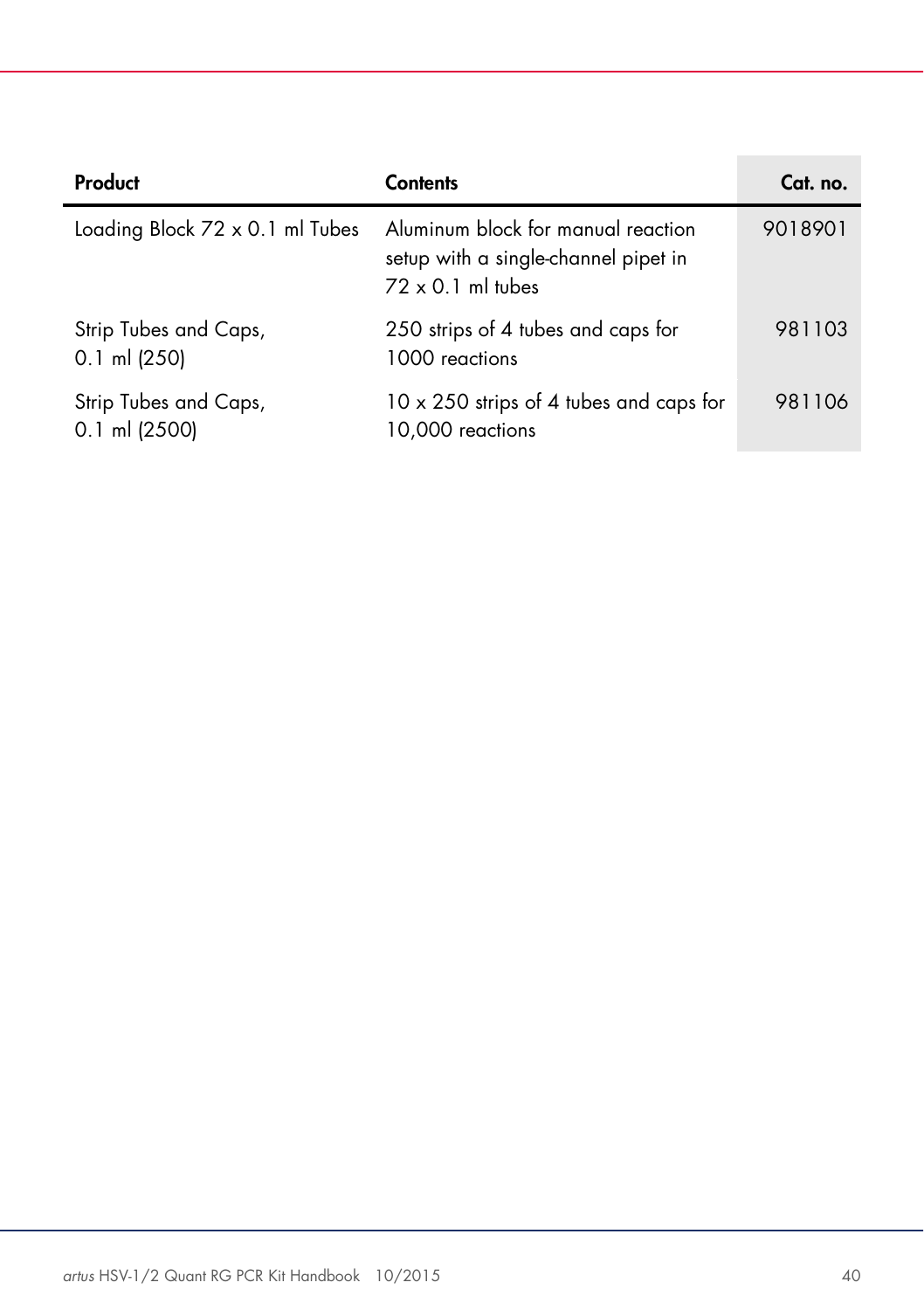| Product                                  | <b>Contents</b>                                                                                        | Cat. no. |
|------------------------------------------|--------------------------------------------------------------------------------------------------------|----------|
| Loading Block 72 x 0.1 ml Tubes          | Aluminum block for manual reaction<br>setup with a single-channel pipet in<br>$72 \times 0.1$ ml tubes | 9018901  |
| Strip Tubes and Caps,<br>$0.1$ ml (250)  | 250 strips of 4 tubes and caps for<br>1000 reactions                                                   | 981103   |
| Strip Tubes and Caps,<br>$0.1$ ml (2500) | 10 x 250 strips of 4 tubes and caps for<br>10,000 reactions                                            | 981106   |

 $\sim$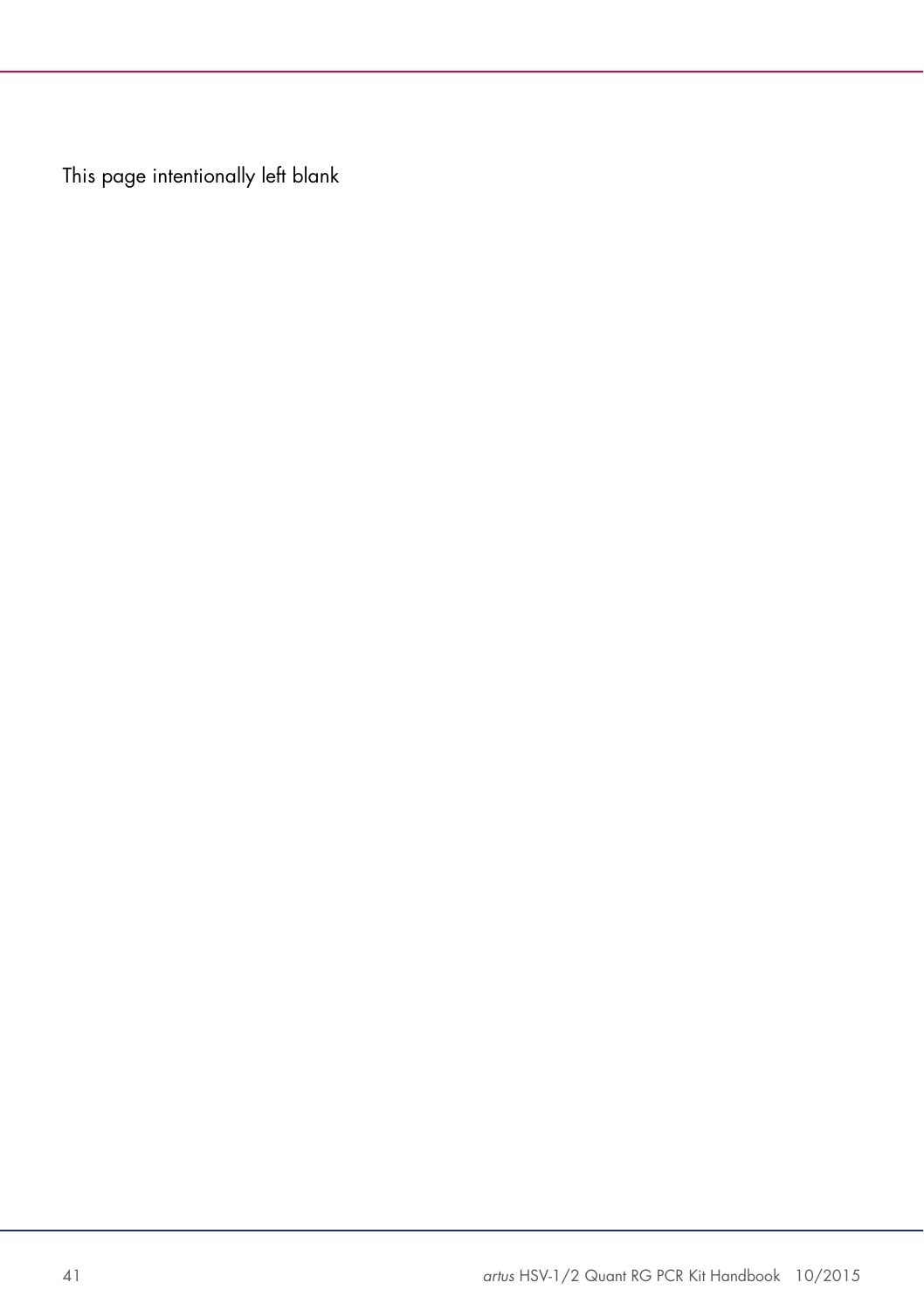This page intentionally left blank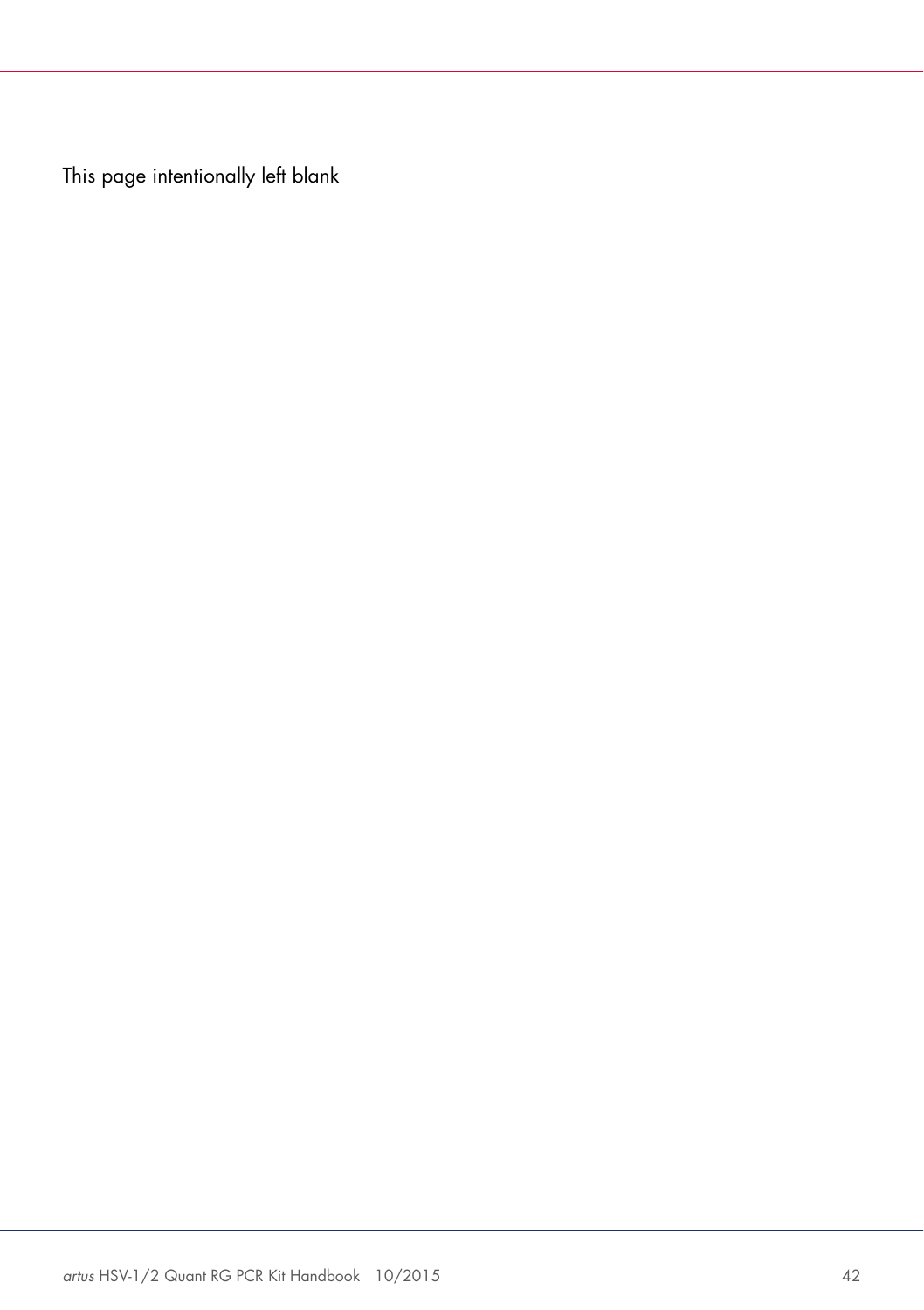This page intentionally left blank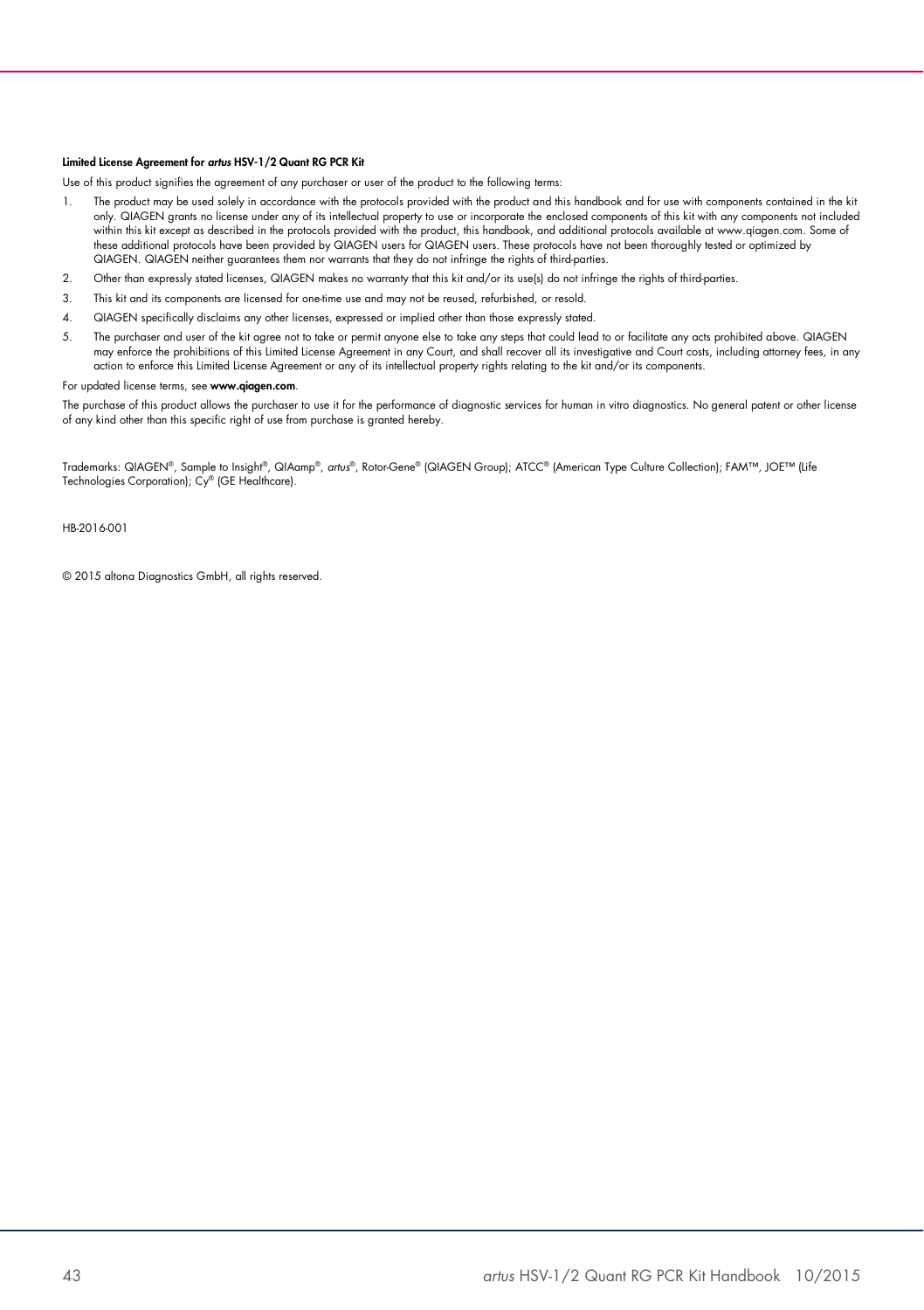#### Limited License Agreement for *artus* HSV-1/2 Quant RG PCR Kit

Use of this product signifies the agreement of any purchaser or user of the product to the following terms:

- 1. The product may be used solely in accordance with the protocols provided with the product and this handbook and for use with components contained in the kit only. QIAGEN grants no license under any of its intellectual property to use or incorporate the enclosed components of this kit with any components not included<br>within this kit except as described in the protocols provided these additional protocols have been provided by QIAGEN users for QIAGEN users. These protocols have not been thoroughly tested or optimized by QIAGEN. QIAGEN neither guarantees them nor warrants that they do not infringe the rights of third-parties.
- 2. Other than expressly stated licenses, QIAGEN makes no warranty that this kit and/or its use(s) do not infringe the rights of third-parties.
- 3. This kit and its components are licensed for one-time use and may not be reused, refurbished, or resold.
- 4. QIAGEN specifically disclaims any other licenses, expressed or implied other than those expressly stated.
- 5. The purchaser and user of the kit agree not to take or permit anyone else to take any steps that could lead to or facilitate any acts prohibited above. QIAGEN may enforce the prohibitions of this Limited License Agreement in any Court, and shall recover all its investigative and Court costs, including attorney fees, in any action to enforce this Limited License Agreement or any of its intellectual property rights relating to the kit and/or its components.

#### For updated license terms, see www.qiagen.com.

The purchase of this product allows the purchaser to use it for the performance of diagnostic services for human in vitro diagnostics. No general patent or other license of any kind other than this specific right of use from purchase is granted hereby.

Trademarks: QIAGEN®, Sample to Insight®, QIAamp®, *artus*®, Rotor-Gene® (QIAGEN Group); ATCC® (American Type Culture Collection); FAM™, JOE™ (Life Technologies Corporation); Cy® (GE Healthcare).

HB-2016-001

© 2015 altona Diagnostics GmbH, all rights reserved.